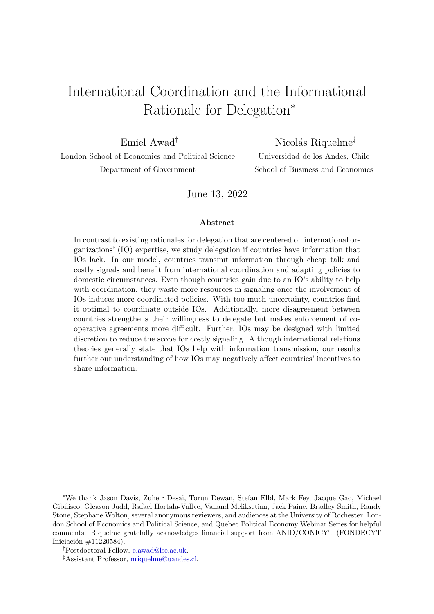# International Coordination and the Informational Rationale for Delegation<sup>∗</sup>

Emiel Awad†

London School of Economics and Political Science Department of Government

Nicolás Riquelme<sup>‡</sup>

Universidad de los Andes, Chile School of Business and Economics

June 13, 2022

#### Abstract

In contrast to existing rationales for delegation that are centered on international organizations' (IO) expertise, we study delegation if countries have information that IOs lack. In our model, countries transmit information through cheap talk and costly signals and benefit from international coordination and adapting policies to domestic circumstances. Even though countries gain due to an IO's ability to help with coordination, they waste more resources in signaling once the involvement of IOs induces more coordinated policies. With too much uncertainty, countries find it optimal to coordinate outside IOs. Additionally, more disagreement between countries strengthens their willingness to delegate but makes enforcement of cooperative agreements more difficult. Further, IOs may be designed with limited discretion to reduce the scope for costly signaling. Although international relations theories generally state that IOs help with information transmission, our results further our understanding of how IOs may negatively affect countries' incentives to share information.

<sup>∗</sup>We thank Jason Davis, Zuheir Desai, Torun Dewan, Stefan Elbl, Mark Fey, Jacque Gao, Michael Gibilisco, Gleason Judd, Rafael Hortala-Vallve, Vanand Meliksetian, Jack Paine, Bradley Smith, Randy Stone, Stephane Wolton, several anonymous reviewers, and audiences at the University of Rochester, London School of Economics and Political Science, and Quebec Political Economy Webinar Series for helpful comments. Riquelme gratefully acknowledges financial support from ANID/CONICYT (FONDECYT Iniciación  $\#11220584$ ).

<sup>†</sup>Postdoctoral Fellow, [e.awad@lse.ac.uk.](mailto:e.awad@lse.ac.uk)

<sup>‡</sup>Assistant Professor, [nriquelme@uandes.cl.](mailto:nriquelme@uandes.cl)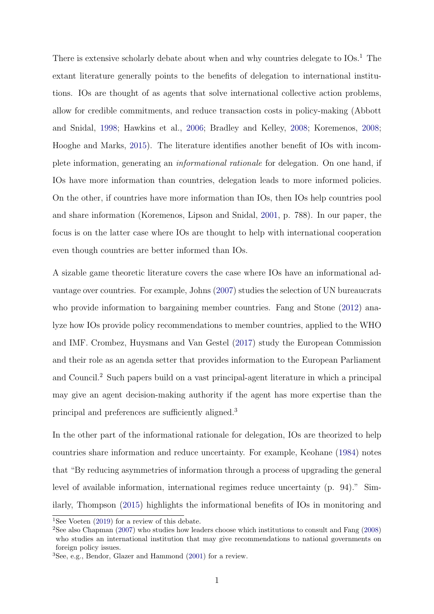There is extensive scholarly debate about when and why countries delegate to  $IOS<sup>1</sup>$ . The extant literature generally points to the benefits of delegation to international institutions. IOs are thought of as agents that solve international collective action problems, allow for credible commitments, and reduce transaction costs in policy-making (Abbott and Snidal, [1998;](#page-33-0) Hawkins et al., [2006;](#page-34-0) Bradley and Kelley, [2008;](#page-33-1) Koremenos, [2008;](#page-35-0) Hooghe and Marks, [2015\)](#page-34-1). The literature identifies another benefit of IOs with incomplete information, generating an informational rationale for delegation. On one hand, if IOs have more information than countries, delegation leads to more informed policies. On the other, if countries have more information than IOs, then IOs help countries pool and share information (Koremenos, Lipson and Snidal, [2001,](#page-35-1) p. 788). In our paper, the focus is on the latter case where IOs are thought to help with international cooperation even though countries are better informed than IOs.

A sizable game theoretic literature covers the case where IOs have an informational advantage over countries. For example, Johns [\(2007\)](#page-34-2) studies the selection of UN bureaucrats who provide information to bargaining member countries. Fang and Stone  $(2012)$  analyze how IOs provide policy recommendations to member countries, applied to the WHO and IMF. Crombez, Huysmans and Van Gestel [\(2017\)](#page-34-4) study the European Commission and their role as an agenda setter that provides information to the European Parliament and Council.<sup>2</sup> Such papers build on a vast principal-agent literature in which a principal may give an agent decision-making authority if the agent has more expertise than the principal and preferences are sufficiently aligned.<sup>3</sup>

In the other part of the informational rationale for delegation, IOs are theorized to help countries share information and reduce uncertainty. For example, Keohane [\(1984\)](#page-35-2) notes that "By reducing asymmetries of information through a process of upgrading the general level of available information, international regimes reduce uncertainty (p. 94)." Similarly, Thompson [\(2015\)](#page-36-0) highlights the informational benefits of IOs in monitoring and

<sup>&</sup>lt;sup>1</sup>See Voeten [\(2019\)](#page-36-1) for a review of this debate.

<sup>&</sup>lt;sup>2</sup>See also Chapman [\(2007\)](#page-33-2) who studies how leaders choose which institutions to consult and Fang [\(2008\)](#page-34-5) who studies an international institution that may give recommendations to national governments on foreign policy issues.

<sup>3</sup>See, e.g., Bendor, Glazer and Hammond [\(2001\)](#page-33-3) for a review.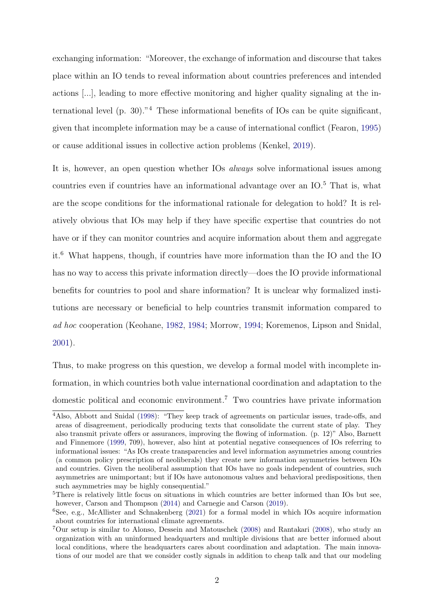exchanging information: "Moreover, the exchange of information and discourse that takes place within an IO tends to reveal information about countries preferences and intended actions [...], leading to more effective monitoring and higher quality signaling at the international level (p. 30)."<sup>4</sup> These informational benefits of IOs can be quite significant, given that incomplete information may be a cause of international conflict (Fearon, [1995\)](#page-34-6) or cause additional issues in collective action problems (Kenkel, [2019\)](#page-35-3).

It is, however, an open question whether IOs always solve informational issues among countries even if countries have an informational advantage over an IO.<sup>5</sup> That is, what are the scope conditions for the informational rationale for delegation to hold? It is relatively obvious that IOs may help if they have specific expertise that countries do not have or if they can monitor countries and acquire information about them and aggregate it.<sup>6</sup> What happens, though, if countries have more information than the IO and the IO has no way to access this private information directly—does the IO provide informational benefits for countries to pool and share information? It is unclear why formalized institutions are necessary or beneficial to help countries transmit information compared to ad hoc cooperation (Keohane, [1982,](#page-35-4) [1984;](#page-35-2) Morrow, [1994;](#page-35-5) Koremenos, Lipson and Snidal, [2001\)](#page-35-1).

Thus, to make progress on this question, we develop a formal model with incomplete information, in which countries both value international coordination and adaptation to the domestic political and economic environment.<sup>7</sup> Two countries have private information

<sup>4</sup>Also, Abbott and Snidal [\(1998\)](#page-33-0): "They keep track of agreements on particular issues, trade-offs, and areas of disagreement, periodically producing texts that consolidate the current state of play. They also transmit private offers or assurances, improving the flowing of information. (p. 12)" Also, Barnett and Finnemore [\(1999,](#page-33-4) 709), however, also hint at potential negative consequences of IOs referring to informational issues: "As IOs create transparencies and level information asymmetries among countries (a common policy prescription of neoliberals) they create new information asymmetries between IOs and countries. Given the neoliberal assumption that IOs have no goals independent of countries, such asymmetries are unimportant; but if IOs have autonomous values and behavioral predispositions, then such asymmetries may be highly consequential."

<sup>5</sup>There is relatively little focus on situations in which countries are better informed than IOs but see, however, Carson and Thompson [\(2014\)](#page-33-5) and Carnegie and Carson [\(2019\)](#page-33-6).

<sup>6</sup>See, e.g., McAllister and Schnakenberg [\(2021\)](#page-35-6) for a formal model in which IOs acquire information about countries for international climate agreements.

<sup>7</sup>Our setup is similar to Alonso, Dessein and Matouschek [\(2008\)](#page-33-7) and Rantakari [\(2008\)](#page-35-7), who study an organization with an uninformed headquarters and multiple divisions that are better informed about local conditions, where the headquarters cares about coordination and adaptation. The main innovations of our model are that we consider costly signals in addition to cheap talk and that our modeling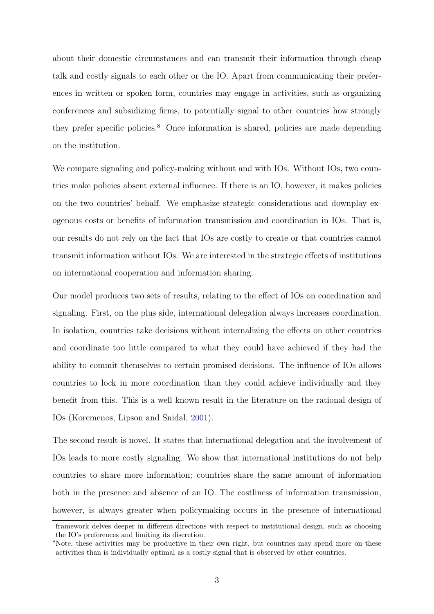about their domestic circumstances and can transmit their information through cheap talk and costly signals to each other or the IO. Apart from communicating their preferences in written or spoken form, countries may engage in activities, such as organizing conferences and subsidizing firms, to potentially signal to other countries how strongly they prefer specific policies.<sup>8</sup> Once information is shared, policies are made depending on the institution.

We compare signaling and policy-making without and with IOs. Without IOs, two countries make policies absent external influence. If there is an IO, however, it makes policies on the two countries' behalf. We emphasize strategic considerations and downplay exogenous costs or benefits of information transmission and coordination in IOs. That is, our results do not rely on the fact that IOs are costly to create or that countries cannot transmit information without IOs. We are interested in the strategic effects of institutions on international cooperation and information sharing.

Our model produces two sets of results, relating to the effect of IOs on coordination and signaling. First, on the plus side, international delegation always increases coordination. In isolation, countries take decisions without internalizing the effects on other countries and coordinate too little compared to what they could have achieved if they had the ability to commit themselves to certain promised decisions. The influence of IOs allows countries to lock in more coordination than they could achieve individually and they benefit from this. This is a well known result in the literature on the rational design of IOs (Koremenos, Lipson and Snidal, [2001\)](#page-35-1).

The second result is novel. It states that international delegation and the involvement of IOs leads to more costly signaling. We show that international institutions do not help countries to share more information; countries share the same amount of information both in the presence and absence of an IO. The costliness of information transmission, however, is always greater when policymaking occurs in the presence of international

framework delves deeper in different directions with respect to institutional design, such as choosing the IO's preferences and limiting its discretion.

<sup>&</sup>lt;sup>8</sup>Note, these activities may be productive in their own right, but countries may spend more on these activities than is individually optimal as a costly signal that is observed by other countries.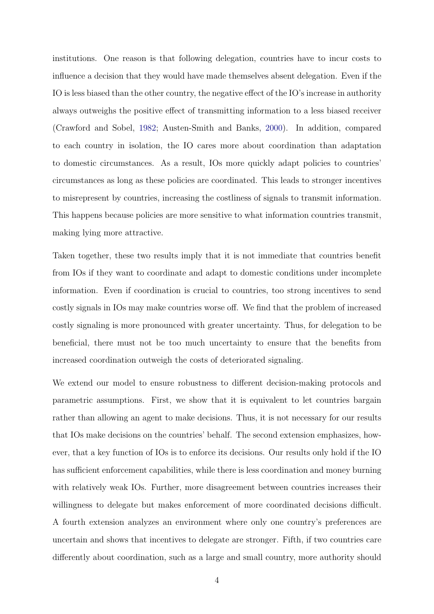institutions. One reason is that following delegation, countries have to incur costs to influence a decision that they would have made themselves absent delegation. Even if the IO is less biased than the other country, the negative effect of the IO's increase in authority always outweighs the positive effect of transmitting information to a less biased receiver (Crawford and Sobel, [1982;](#page-34-7) Austen-Smith and Banks, [2000\)](#page-33-8). In addition, compared to each country in isolation, the IO cares more about coordination than adaptation to domestic circumstances. As a result, IOs more quickly adapt policies to countries' circumstances as long as these policies are coordinated. This leads to stronger incentives to misrepresent by countries, increasing the costliness of signals to transmit information. This happens because policies are more sensitive to what information countries transmit, making lying more attractive.

Taken together, these two results imply that it is not immediate that countries benefit from IOs if they want to coordinate and adapt to domestic conditions under incomplete information. Even if coordination is crucial to countries, too strong incentives to send costly signals in IOs may make countries worse off. We find that the problem of increased costly signaling is more pronounced with greater uncertainty. Thus, for delegation to be beneficial, there must not be too much uncertainty to ensure that the benefits from increased coordination outweigh the costs of deteriorated signaling.

We extend our model to ensure robustness to different decision-making protocols and parametric assumptions. First, we show that it is equivalent to let countries bargain rather than allowing an agent to make decisions. Thus, it is not necessary for our results that IOs make decisions on the countries' behalf. The second extension emphasizes, however, that a key function of IOs is to enforce its decisions. Our results only hold if the IO has sufficient enforcement capabilities, while there is less coordination and money burning with relatively weak IOs. Further, more disagreement between countries increases their willingness to delegate but makes enforcement of more coordinated decisions difficult. A fourth extension analyzes an environment where only one country's preferences are uncertain and shows that incentives to delegate are stronger. Fifth, if two countries care differently about coordination, such as a large and small country, more authority should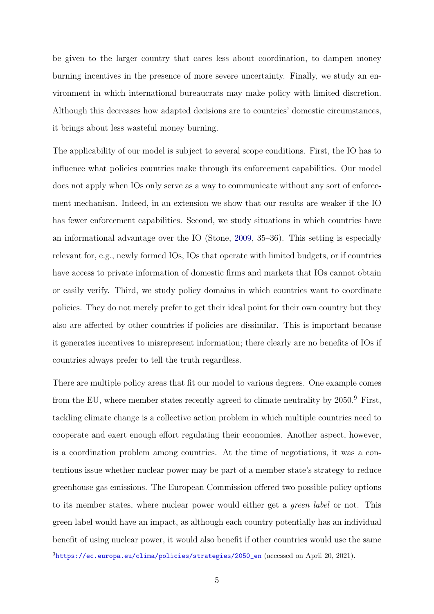be given to the larger country that cares less about coordination, to dampen money burning incentives in the presence of more severe uncertainty. Finally, we study an environment in which international bureaucrats may make policy with limited discretion. Although this decreases how adapted decisions are to countries' domestic circumstances, it brings about less wasteful money burning.

The applicability of our model is subject to several scope conditions. First, the IO has to influence what policies countries make through its enforcement capabilities. Our model does not apply when IOs only serve as a way to communicate without any sort of enforcement mechanism. Indeed, in an extension we show that our results are weaker if the IO has fewer enforcement capabilities. Second, we study situations in which countries have an informational advantage over the IO (Stone, [2009,](#page-36-2) 35–36). This setting is especially relevant for, e.g., newly formed IOs, IOs that operate with limited budgets, or if countries have access to private information of domestic firms and markets that IOs cannot obtain or easily verify. Third, we study policy domains in which countries want to coordinate policies. They do not merely prefer to get their ideal point for their own country but they also are affected by other countries if policies are dissimilar. This is important because it generates incentives to misrepresent information; there clearly are no benefits of IOs if countries always prefer to tell the truth regardless.

There are multiple policy areas that fit our model to various degrees. One example comes from the EU, where member states recently agreed to climate neutrality by 2050.<sup>9</sup> First, tackling climate change is a collective action problem in which multiple countries need to cooperate and exert enough effort regulating their economies. Another aspect, however, is a coordination problem among countries. At the time of negotiations, it was a contentious issue whether nuclear power may be part of a member state's strategy to reduce greenhouse gas emissions. The European Commission offered two possible policy options to its member states, where nuclear power would either get a green label or not. This green label would have an impact, as although each country potentially has an individual benefit of using nuclear power, it would also benefit if other countries would use the same

<sup>9</sup>[https://ec.europa.eu/clima/policies/strategies/2050\\_en](https://ec.europa.eu/clima/policies/strategies/2050_en) (accessed on April 20, 2021).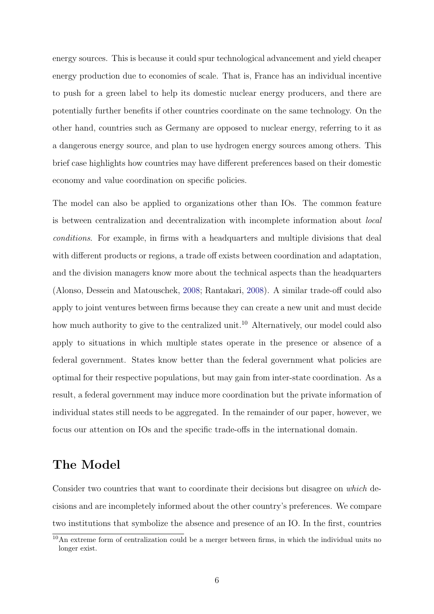energy sources. This is because it could spur technological advancement and yield cheaper energy production due to economies of scale. That is, France has an individual incentive to push for a green label to help its domestic nuclear energy producers, and there are potentially further benefits if other countries coordinate on the same technology. On the other hand, countries such as Germany are opposed to nuclear energy, referring to it as a dangerous energy source, and plan to use hydrogen energy sources among others. This brief case highlights how countries may have different preferences based on their domestic economy and value coordination on specific policies.

The model can also be applied to organizations other than IOs. The common feature is between centralization and decentralization with incomplete information about local conditions. For example, in firms with a headquarters and multiple divisions that deal with different products or regions, a trade off exists between coordination and adaptation, and the division managers know more about the technical aspects than the headquarters (Alonso, Dessein and Matouschek, [2008;](#page-33-7) Rantakari, [2008\)](#page-35-7). A similar trade-off could also apply to joint ventures between firms because they can create a new unit and must decide how much authority to give to the centralized unit.<sup>10</sup> Alternatively, our model could also apply to situations in which multiple states operate in the presence or absence of a federal government. States know better than the federal government what policies are optimal for their respective populations, but may gain from inter-state coordination. As a result, a federal government may induce more coordination but the private information of individual states still needs to be aggregated. In the remainder of our paper, however, we focus our attention on IOs and the specific trade-offs in the international domain.

# The Model

Consider two countries that want to coordinate their decisions but disagree on which decisions and are incompletely informed about the other country's preferences. We compare two institutions that symbolize the absence and presence of an IO. In the first, countries

<sup>10</sup>An extreme form of centralization could be a merger between firms, in which the individual units no longer exist.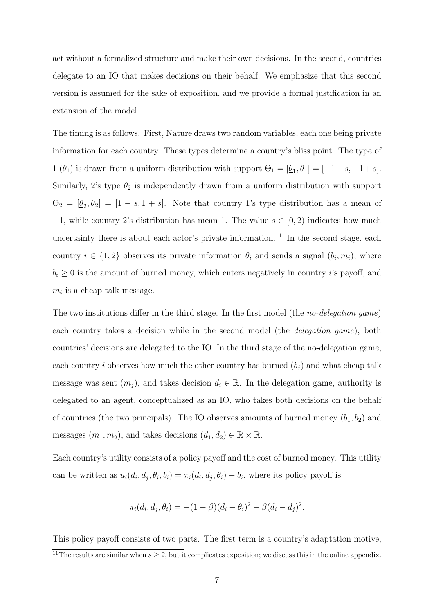act without a formalized structure and make their own decisions. In the second, countries delegate to an IO that makes decisions on their behalf. We emphasize that this second version is assumed for the sake of exposition, and we provide a formal justification in an extension of the model.

The timing is as follows. First, Nature draws two random variables, each one being private information for each country. These types determine a country's bliss point. The type of 1 ( $\theta_1$ ) is drawn from a uniform distribution with support  $\Theta_1 = [\underline{\theta}_1, \theta_1] = [-1-s, -1+s]$ . Similarly, 2's type  $\theta_2$  is independently drawn from a uniform distribution with support  $\Theta_2 = [\underline{\theta}_2, \theta_2] = [1-s, 1+s]$ . Note that country 1's type distribution has a mean of  $-1$ , while country 2's distribution has mean 1. The value  $s \in [0, 2)$  indicates how much uncertainty there is about each actor's private information.<sup>11</sup> In the second stage, each country  $i \in \{1,2\}$  observes its private information  $\theta_i$  and sends a signal  $(b_i, m_i)$ , where  $b_i \geq 0$  is the amount of burned money, which enters negatively in country i's payoff, and  $m_i$  is a cheap talk message.

The two institutions differ in the third stage. In the first model (the no-delegation game) each country takes a decision while in the second model (the *delegation game*), both countries' decisions are delegated to the IO. In the third stage of the no-delegation game, each country i observes how much the other country has burned  $(b_i)$  and what cheap talk message was sent  $(m_j)$ , and takes decision  $d_i \in \mathbb{R}$ . In the delegation game, authority is delegated to an agent, conceptualized as an IO, who takes both decisions on the behalf of countries (the two principals). The IO observes amounts of burned money  $(b_1, b_2)$  and messages  $(m_1, m_2)$ , and takes decisions  $(d_1, d_2) \in \mathbb{R} \times \mathbb{R}$ .

Each country's utility consists of a policy payoff and the cost of burned money. This utility can be written as  $u_i(d_i, d_j, \theta_i, b_i) = \pi_i(d_i, d_j, \theta_i) - b_i$ , where its policy payoff is

$$
\pi_i(d_i, d_j, \theta_i) = -(1 - \beta)(d_i - \theta_i)^2 - \beta(d_i - d_j)^2.
$$

This policy payoff consists of two parts. The first term is a country's adaptation motive, <sup>11</sup>The results are similar when  $s \geq 2$ , but it complicates exposition; we discuss this in the online appendix.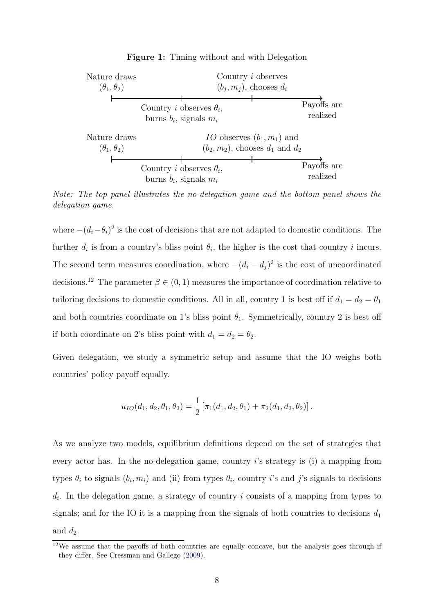

Figure 1: Timing without and with Delegation

Note: The top panel illustrates the no-delegation game and the bottom panel shows the delegation game.

where  $-(d_i - \theta_i)^2$  is the cost of decisions that are not adapted to domestic conditions. The further  $d_i$  is from a country's bliss point  $\theta_i$ , the higher is the cost that country i incurs. The second term measures coordination, where  $-(d_i - d_j)^2$  is the cost of uncoordinated decisions.<sup>12</sup> The parameter  $\beta \in (0, 1)$  measures the importance of coordination relative to tailoring decisions to domestic conditions. All in all, country 1 is best off if  $d_1 = d_2 = \theta_1$ and both countries coordinate on 1's bliss point  $\theta_1$ . Symmetrically, country 2 is best off if both coordinate on 2's bliss point with  $d_1 = d_2 = \theta_2$ .

Given delegation, we study a symmetric setup and assume that the IO weighs both countries' policy payoff equally.

$$
u_{IO}(d_1, d_2, \theta_1, \theta_2) = \frac{1}{2} [\pi_1(d_1, d_2, \theta_1) + \pi_2(d_1, d_2, \theta_2)].
$$

As we analyze two models, equilibrium definitions depend on the set of strategies that every actor has. In the no-delegation game, country  $i$ 's strategy is (i) a mapping from types  $\theta_i$  to signals  $(b_i, m_i)$  and (ii) from types  $\theta_i$ , country *i*'s and *j*'s signals to decisions  $d_i$ . In the delegation game, a strategy of country i consists of a mapping from types to signals; and for the IO it is a mapping from the signals of both countries to decisions  $d_1$ and  $d_2$ .

<sup>&</sup>lt;sup>12</sup>We assume that the payoffs of both countries are equally concave, but the analysis goes through if they differ. See Cressman and Gallego [\(2009\)](#page-34-8).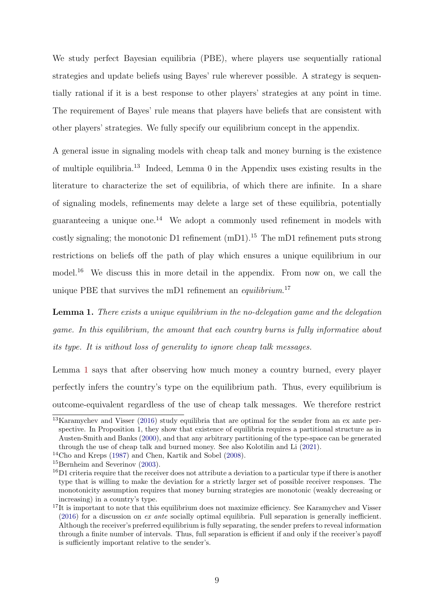We study perfect Bayesian equilibria (PBE), where players use sequentially rational strategies and update beliefs using Bayes' rule wherever possible. A strategy is sequentially rational if it is a best response to other players' strategies at any point in time. The requirement of Bayes' rule means that players have beliefs that are consistent with other players' strategies. We fully specify our equilibrium concept in the appendix.

A general issue in signaling models with cheap talk and money burning is the existence of multiple equilibria.<sup>13</sup> Indeed, Lemma 0 in the Appendix uses existing results in the literature to characterize the set of equilibria, of which there are infinite. In a share of signaling models, refinements may delete a large set of these equilibria, potentially guaranteeing a unique one.<sup>14</sup> We adopt a commonly used refinement in models with costly signaling; the monotonic D1 refinement  $(mD1).<sup>15</sup>$  The mD1 refinement puts strong restrictions on beliefs off the path of play which ensures a unique equilibrium in our model.<sup>16</sup> We discuss this in more detail in the appendix. From now on, we call the unique PBE that survives the mD1 refinement an *equilibrium*.<sup>17</sup>

<span id="page-9-0"></span>Lemma 1. There exists a unique equilibrium in the no-delegation game and the delegation game. In this equilibrium, the amount that each country burns is fully informative about its type. It is without loss of generality to ignore cheap talk messages.

Lemma [1](#page-9-0) says that after observing how much money a country burned, every player perfectly infers the country's type on the equilibrium path. Thus, every equilibrium is outcome-equivalent regardless of the use of cheap talk messages. We therefore restrict

<sup>13</sup>Karamychev and Visser [\(2016\)](#page-35-8) study equilibria that are optimal for the sender from an ex ante perspective. In Proposition 1, they show that existence of equilibria requires a partitional structure as in Austen-Smith and Banks [\(2000\)](#page-33-8), and that any arbitrary partitioning of the type-space can be generated through the use of cheap talk and burned money. See also Kolotilin and Li [\(2021\)](#page-35-9).

<sup>14</sup>Cho and Kreps [\(1987\)](#page-34-9) and Chen, Kartik and Sobel [\(2008\)](#page-33-9).

<sup>&</sup>lt;sup>15</sup>Bernheim and Severinov [\(2003\)](#page-33-10).

 $^{16}$ D1 criteria require that the receiver does not attribute a deviation to a particular type if there is another type that is willing to make the deviation for a strictly larger set of possible receiver responses. The monotonicity assumption requires that money burning strategies are monotonic (weakly decreasing or increasing) in a country's type.

<sup>&</sup>lt;sup>17</sup>It is important to note that this equilibrium does not maximize efficiency. See Karamychev and Visser [\(2016\)](#page-35-8) for a discussion on ex ante socially optimal equilibria. Full separation is generally inefficient. Although the receiver's preferred equilibrium is fully separating, the sender prefers to reveal information through a finite number of intervals. Thus, full separation is efficient if and only if the receiver's payoff is sufficiently important relative to the sender's.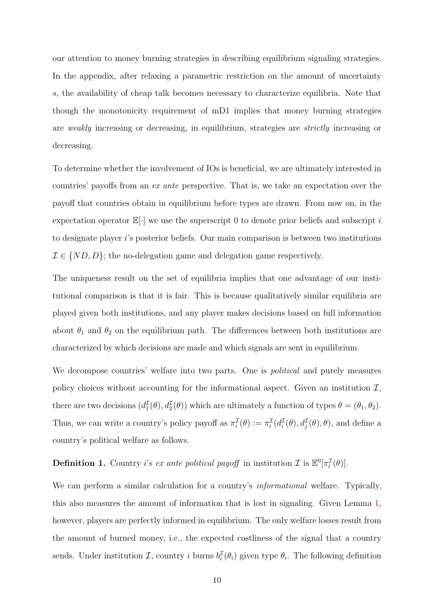our attention to money burning strategies in describing equilibrium signaling strategies. In the appendix, after relaxing a parametric restriction on the amount of uncertainty s, the availability of cheap talk becomes necessary to characterize equilibria. Note that though the monotonicity requirement of mD1 implies that money burning strategies are weakly increasing or decreasing, in equilibrium, strategies are *strictly* increasing or decreasing.

To determine whether the involvement of IOs is beneficial, we are ultimately interested in countries' payoffs from an ex ante perspective. That is, we take an expectation over the payoff that countries obtain in equilibrium before types are drawn. From now on, in the expectation operator  $\mathbb{E}[\cdot]$  we use the superscript 0 to denote prior beliefs and subscript i to designate player i's posterior beliefs. Our main comparison is between two institutions  $\mathcal{I} \in \{ND, D\}$ ; the no-delegation game and delegation game respectively.

The uniqueness result on the set of equilibria implies that one advantage of our institutional comparison is that it is fair. This is because qualitatively similar equilibria are played given both institutions, and any player makes decisions based on full information about  $\theta_1$  and  $\theta_2$  on the equilibrium path. The differences between both institutions are characterized by which decisions are made and which signals are sent in equilibrium.

We decompose countries' welfare into two parts. One is *political* and purely measures policy choices without accounting for the informational aspect. Given an institution  $I$ , there are two decisions  $(d_1^{\mathcal{I}}(\theta), d_2^{\mathcal{I}}(\theta))$  which are ultimately a function of types  $\theta = (\theta_1, \theta_2)$ . Thus, we can write a country's policy payoff as  $\pi_i^{\mathcal{I}}(\theta) := \pi_i^{\mathcal{I}}(d_i^{\mathcal{I}}(\theta), d_j^{\mathcal{I}}(\theta), \theta)$ , and define a country's political welfare as follows.

# **Definition 1.** Country *i*'s ex ante political payoff in institution  $\mathcal{I}$  is  $\mathbb{E}^0[\pi_i^{\mathcal{I}}(\theta)].$

We can perform a similar calculation for a country's *informational* welfare. Typically, this also measures the amount of information that is lost in signaling. Given Lemma [1,](#page-9-0) however, players are perfectly informed in equilibrium. The only welfare losses result from the amount of burned money, i.e., the expected costliness of the signal that a country sends. Under institution  $\mathcal{I}$ , country i burns  $b_i^{\mathcal{I}}(\theta_i)$  given type  $\theta_i$ . The following definition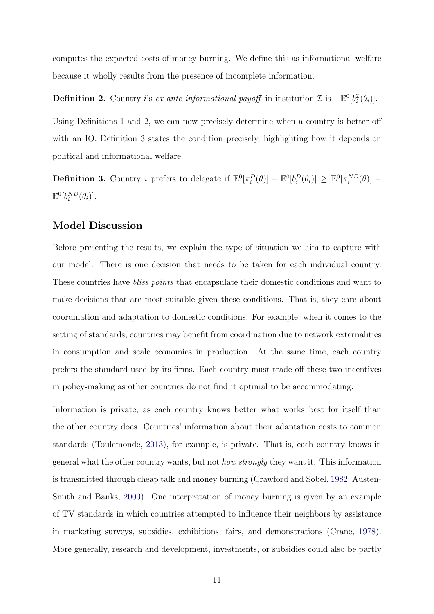computes the expected costs of money burning. We define this as informational welfare because it wholly results from the presence of incomplete information.

**Definition 2.** Country i's ex ante informational payoff in institution  $\mathcal{I}$  is  $-\mathbb{E}^0[b_i^{\mathcal{I}}(\theta_i)].$ 

Using Definitions 1 and 2, we can now precisely determine when a country is better off with an IO. Definition 3 states the condition precisely, highlighting how it depends on political and informational welfare.

**Definition 3.** Country *i* prefers to delegate if  $\mathbb{E}^0[\pi_i^D(\theta)] - \mathbb{E}^0[b_i^D(\theta_i)] \geq \mathbb{E}^0[\pi_i^{ND}(\theta)] \mathbb{E}^0[b_i^{ND}(\theta_i)].$ 

### Model Discussion

Before presenting the results, we explain the type of situation we aim to capture with our model. There is one decision that needs to be taken for each individual country. These countries have *bliss points* that encapsulate their domestic conditions and want to make decisions that are most suitable given these conditions. That is, they care about coordination and adaptation to domestic conditions. For example, when it comes to the setting of standards, countries may benefit from coordination due to network externalities in consumption and scale economies in production. At the same time, each country prefers the standard used by its firms. Each country must trade off these two incentives in policy-making as other countries do not find it optimal to be accommodating.

Information is private, as each country knows better what works best for itself than the other country does. Countries' information about their adaptation costs to common standards (Toulemonde, [2013\)](#page-36-3), for example, is private. That is, each country knows in general what the other country wants, but not how strongly they want it. This information is transmitted through cheap talk and money burning (Crawford and Sobel, [1982;](#page-34-7) Austen-Smith and Banks, [2000\)](#page-33-8). One interpretation of money burning is given by an example of TV standards in which countries attempted to influence their neighbors by assistance in marketing surveys, subsidies, exhibitions, fairs, and demonstrations (Crane, [1978\)](#page-34-10). More generally, research and development, investments, or subsidies could also be partly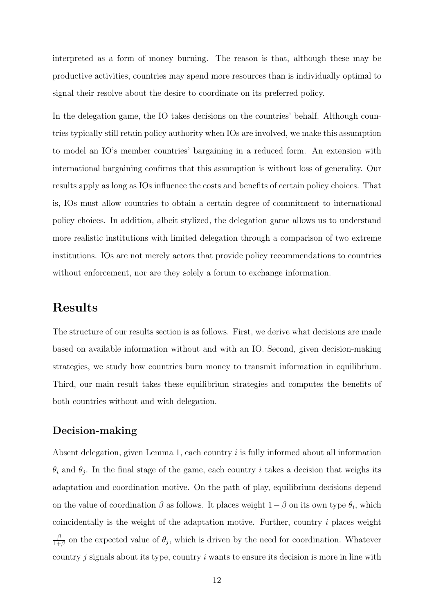interpreted as a form of money burning. The reason is that, although these may be productive activities, countries may spend more resources than is individually optimal to signal their resolve about the desire to coordinate on its preferred policy.

In the delegation game, the IO takes decisions on the countries' behalf. Although countries typically still retain policy authority when IOs are involved, we make this assumption to model an IO's member countries' bargaining in a reduced form. An extension with international bargaining confirms that this assumption is without loss of generality. Our results apply as long as IOs influence the costs and benefits of certain policy choices. That is, IOs must allow countries to obtain a certain degree of commitment to international policy choices. In addition, albeit stylized, the delegation game allows us to understand more realistic institutions with limited delegation through a comparison of two extreme institutions. IOs are not merely actors that provide policy recommendations to countries without enforcement, nor are they solely a forum to exchange information.

# Results

The structure of our results section is as follows. First, we derive what decisions are made based on available information without and with an IO. Second, given decision-making strategies, we study how countries burn money to transmit information in equilibrium. Third, our main result takes these equilibrium strategies and computes the benefits of both countries without and with delegation.

### Decision-making

Absent delegation, given Lemma 1, each country  $i$  is fully informed about all information  $\theta_i$  and  $\theta_j$ . In the final stage of the game, each country i takes a decision that weighs its adaptation and coordination motive. On the path of play, equilibrium decisions depend on the value of coordination  $\beta$  as follows. It places weight  $1-\beta$  on its own type  $\theta_i$ , which coincidentally is the weight of the adaptation motive. Further, country  $i$  places weight β  $\frac{\beta}{1+\beta}$  on the expected value of  $\theta_j$ , which is driven by the need for coordination. Whatever country  $i$  signals about its type, country  $i$  wants to ensure its decision is more in line with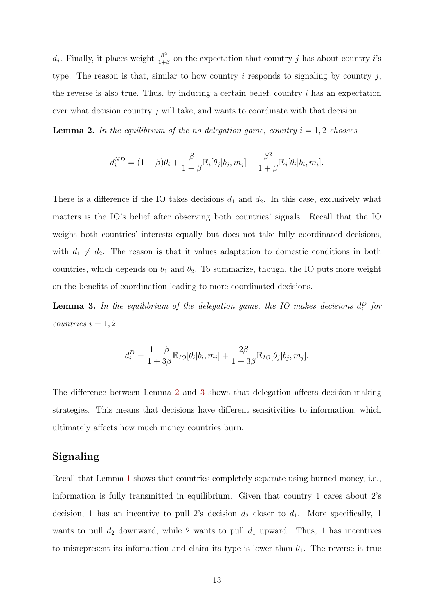$d_j$ . Finally, it places weight  $\frac{\beta^2}{1+1}$  $\frac{\beta^2}{1+\beta}$  on the expectation that country j has about country i's type. The reason is that, similar to how country  $i$  responds to signaling by country  $j$ , the reverse is also true. Thus, by inducing a certain belief, country  $i$  has an expectation over what decision country  $j$  will take, and wants to coordinate with that decision.

<span id="page-13-0"></span>**Lemma 2.** In the equilibrium of the no-delegation game, country  $i = 1, 2$  chooses

$$
d_i^{ND} = (1 - \beta)\theta_i + \frac{\beta}{1 + \beta} \mathbb{E}_i[\theta_j | b_j, m_j] + \frac{\beta^2}{1 + \beta} \mathbb{E}_j[\theta_i | b_i, m_i].
$$

There is a difference if the IO takes decisions  $d_1$  and  $d_2$ . In this case, exclusively what matters is the IO's belief after observing both countries' signals. Recall that the IO weighs both countries' interests equally but does not take fully coordinated decisions, with  $d_1 \neq d_2$ . The reason is that it values adaptation to domestic conditions in both countries, which depends on  $\theta_1$  and  $\theta_2$ . To summarize, though, the IO puts more weight on the benefits of coordination leading to more coordinated decisions.

<span id="page-13-1"></span>**Lemma 3.** In the equilibrium of the delegation game, the IO makes decisions  $d_i^D$  for  $countries$   $i = 1, 2$ 

$$
d_i^D = \frac{1+\beta}{1+3\beta} \mathbb{E}_{IO}[\theta_i | b_i, m_i] + \frac{2\beta}{1+3\beta} \mathbb{E}_{IO}[\theta_j | b_j, m_j].
$$

The difference between Lemma [2](#page-13-0) and [3](#page-13-1) shows that delegation affects decision-making strategies. This means that decisions have different sensitivities to information, which ultimately affects how much money countries burn.

#### Signaling

Recall that Lemma [1](#page-9-0) shows that countries completely separate using burned money, i.e., information is fully transmitted in equilibrium. Given that country 1 cares about 2's decision, 1 has an incentive to pull 2's decision  $d_2$  closer to  $d_1$ . More specifically, 1 wants to pull  $d_2$  downward, while 2 wants to pull  $d_1$  upward. Thus, 1 has incentives to misrepresent its information and claim its type is lower than  $\theta_1$ . The reverse is true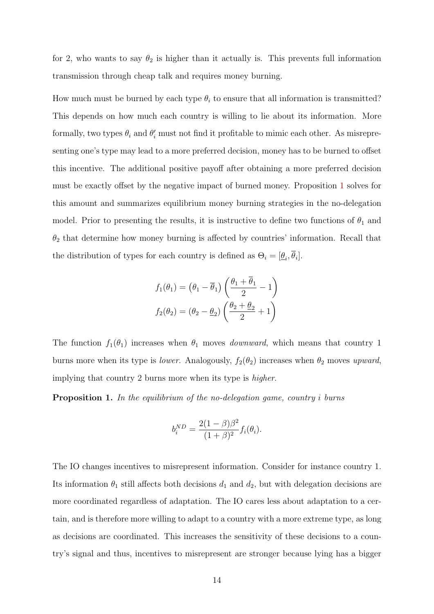for 2, who wants to say  $\theta_2$  is higher than it actually is. This prevents full information transmission through cheap talk and requires money burning.

How much must be burned by each type  $\theta_i$  to ensure that all information is transmitted? This depends on how much each country is willing to lie about its information. More formally, two types  $\theta_i$  and  $\theta'_i$  must not find it profitable to mimic each other. As misrepresenting one's type may lead to a more preferred decision, money has to be burned to offset this incentive. The additional positive payoff after obtaining a more preferred decision must be exactly offset by the negative impact of burned money. Proposition [1](#page-14-0) solves for this amount and summarizes equilibrium money burning strategies in the no-delegation model. Prior to presenting the results, it is instructive to define two functions of  $\theta_1$  and  $\theta_2$  that determine how money burning is affected by countries' information. Recall that the distribution of types for each country is defined as  $\Theta_i = [\underline{\theta}_i, \theta_i].$ 

$$
f_1(\theta_1) = (\theta_1 - \overline{\theta}_1) \left( \frac{\theta_1 + \overline{\theta}_1}{2} - 1 \right)
$$

$$
f_2(\theta_2) = (\theta_2 - \theta_2) \left( \frac{\theta_2 + \theta_2}{2} + 1 \right)
$$

The function  $f_1(\theta_1)$  increases when  $\theta_1$  moves *downward*, which means that country 1 burns more when its type is *lower*. Analogously,  $f_2(\theta_2)$  increases when  $\theta_2$  moves upward, implying that country 2 burns more when its type is higher.

<span id="page-14-0"></span>**Proposition 1.** In the equilibrium of the no-delegation game, country i burns

$$
b_i^{ND} = \frac{2(1-\beta)\beta^2}{(1+\beta)^2} f_i(\theta_i).
$$

The IO changes incentives to misrepresent information. Consider for instance country 1. Its information  $\theta_1$  still affects both decisions  $d_1$  and  $d_2$ , but with delegation decisions are more coordinated regardless of adaptation. The IO cares less about adaptation to a certain, and is therefore more willing to adapt to a country with a more extreme type, as long as decisions are coordinated. This increases the sensitivity of these decisions to a country's signal and thus, incentives to misrepresent are stronger because lying has a bigger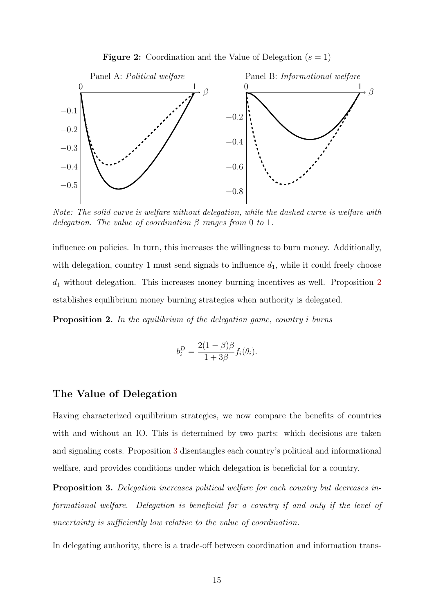**Figure 2:** Coordination and the Value of Delegation  $(s = 1)$ 

<span id="page-15-2"></span>

Note: The solid curve is welfare without delegation, while the dashed curve is welfare with delegation. The value of coordination  $\beta$  ranges from 0 to 1.

influence on policies. In turn, this increases the willingness to burn money. Additionally, with delegation, country 1 must send signals to influence  $d_1$ , while it could freely choose  $d_1$  without delegation. This increases money burning incentives as well. Proposition  $2$ establishes equilibrium money burning strategies when authority is delegated.

<span id="page-15-0"></span>Proposition 2. In the equilibrium of the delegation game, country i burns

$$
b_i^D = \frac{2(1-\beta)\beta}{1+3\beta} f_i(\theta_i).
$$

#### The Value of Delegation

Having characterized equilibrium strategies, we now compare the benefits of countries with and without an IO. This is determined by two parts: which decisions are taken and signaling costs. Proposition [3](#page-15-1) disentangles each country's political and informational welfare, and provides conditions under which delegation is beneficial for a country.

<span id="page-15-1"></span>Proposition 3. Delegation increases political welfare for each country but decreases informational welfare. Delegation is beneficial for a country if and only if the level of uncertainty is sufficiently low relative to the value of coordination.

In delegating authority, there is a trade-off between coordination and information trans-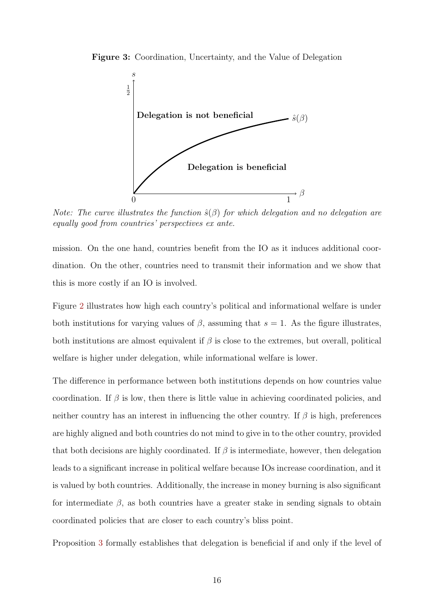<span id="page-16-0"></span>Figure 3: Coordination, Uncertainty, and the Value of Delegation



Note: The curve illustrates the function  $\hat{s}(\beta)$  for which delegation and no delegation are equally good from countries' perspectives ex ante.

mission. On the one hand, countries benefit from the IO as it induces additional coordination. On the other, countries need to transmit their information and we show that this is more costly if an IO is involved.

Figure [2](#page-15-2) illustrates how high each country's political and informational welfare is under both institutions for varying values of  $\beta$ , assuming that  $s = 1$ . As the figure illustrates, both institutions are almost equivalent if  $\beta$  is close to the extremes, but overall, political welfare is higher under delegation, while informational welfare is lower.

The difference in performance between both institutions depends on how countries value coordination. If  $\beta$  is low, then there is little value in achieving coordinated policies, and neither country has an interest in influencing the other country. If  $\beta$  is high, preferences are highly aligned and both countries do not mind to give in to the other country, provided that both decisions are highly coordinated. If  $\beta$  is intermediate, however, then delegation leads to a significant increase in political welfare because IOs increase coordination, and it is valued by both countries. Additionally, the increase in money burning is also significant for intermediate  $\beta$ , as both countries have a greater stake in sending signals to obtain coordinated policies that are closer to each country's bliss point.

Proposition [3](#page-15-1) formally establishes that delegation is beneficial if and only if the level of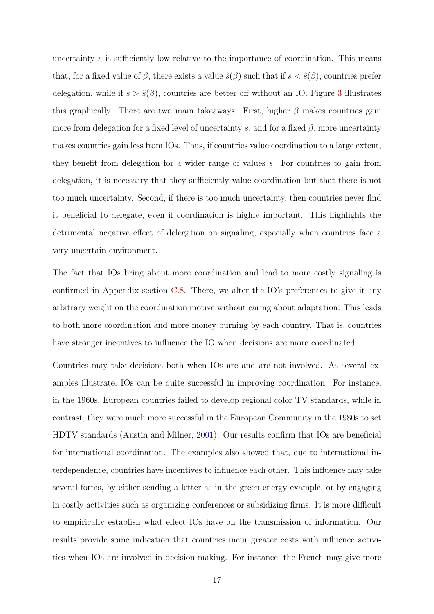uncertainty s is sufficiently low relative to the importance of coordination. This means that, for a fixed value of  $\beta$ , there exists a value  $\hat{s}(\beta)$  such that if  $s < \hat{s}(\beta)$ , countries prefer delegation, while if  $s > \hat{s}(\beta)$ , countries are better off without an IO. Figure [3](#page-16-0) illustrates this graphically. There are two main takeaways. First, higher  $\beta$  makes countries gain more from delegation for a fixed level of uncertainty s, and for a fixed  $\beta$ , more uncertainty makes countries gain less from IOs. Thus, if countries value coordination to a large extent, they benefit from delegation for a wider range of values s. For countries to gain from delegation, it is necessary that they sufficiently value coordination but that there is not too much uncertainty. Second, if there is too much uncertainty, then countries never find it beneficial to delegate, even if coordination is highly important. This highlights the detrimental negative effect of delegation on signaling, especially when countries face a very uncertain environment.

The fact that IOs bring about more coordination and lead to more costly signaling is confirmed in Appendix section [C.8.](#page-55-0) There, we alter the IO's preferences to give it any arbitrary weight on the coordination motive without caring about adaptation. This leads to both more coordination and more money burning by each country. That is, countries have stronger incentives to influence the IO when decisions are more coordinated.

Countries may take decisions both when IOs are and are not involved. As several examples illustrate, IOs can be quite successful in improving coordination. For instance, in the 1960s, European countries failed to develop regional color TV standards, while in contrast, they were much more successful in the European Community in the 1980s to set HDTV standards (Austin and Milner, [2001\)](#page-33-11). Our results confirm that IOs are beneficial for international coordination. The examples also showed that, due to international interdependence, countries have incentives to influence each other. This influence may take several forms, by either sending a letter as in the green energy example, or by engaging in costly activities such as organizing conferences or subsidizing firms. It is more difficult to empirically establish what effect IOs have on the transmission of information. Our results provide some indication that countries incur greater costs with influence activities when IOs are involved in decision-making. For instance, the French may give more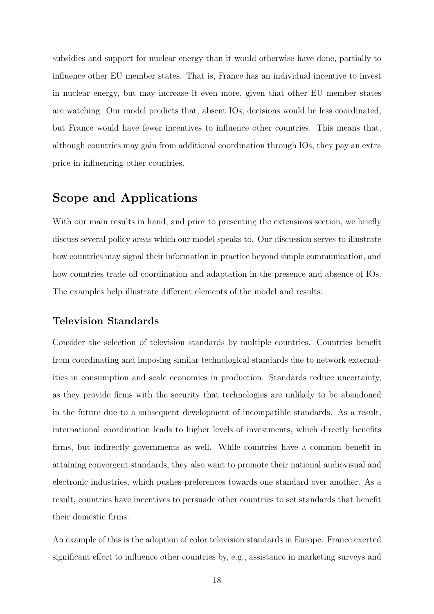subsidies and support for nuclear energy than it would otherwise have done, partially to influence other EU member states. That is, France has an individual incentive to invest in nuclear energy, but may increase it even more, given that other EU member states are watching. Our model predicts that, absent IOs, decisions would be less coordinated, but France would have fewer incentives to influence other countries. This means that, although countries may gain from additional coordination through IOs, they pay an extra price in influencing other countries.

# Scope and Applications

With our main results in hand, and prior to presenting the extensions section, we briefly discuss several policy areas which our model speaks to. Our discussion serves to illustrate how countries may signal their information in practice beyond simple communication, and how countries trade off coordination and adaptation in the presence and absence of IOs. The examples help illustrate different elements of the model and results.

### Television Standards

Consider the selection of television standards by multiple countries. Countries benefit from coordinating and imposing similar technological standards due to network externalities in consumption and scale economies in production. Standards reduce uncertainty, as they provide firms with the security that technologies are unlikely to be abandoned in the future due to a subsequent development of incompatible standards. As a result, international coordination leads to higher levels of investments, which directly benefits firms, but indirectly governments as well. While countries have a common benefit in attaining convergent standards, they also want to promote their national audiovisual and electronic industries, which pushes preferences towards one standard over another. As a result, countries have incentives to persuade other countries to set standards that benefit their domestic firms.

An example of this is the adoption of color television standards in Europe. France exerted significant effort to influence other countries by, e.g., assistance in marketing surveys and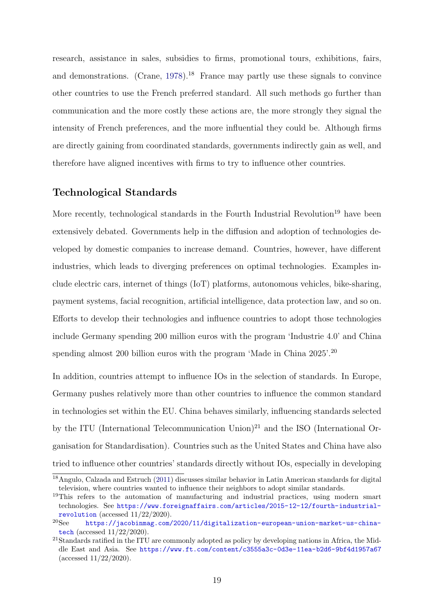research, assistance in sales, subsidies to firms, promotional tours, exhibitions, fairs, and demonstrations. (Crane,  $1978$ ).<sup>18</sup> France may partly use these signals to convince other countries to use the French preferred standard. All such methods go further than communication and the more costly these actions are, the more strongly they signal the intensity of French preferences, and the more influential they could be. Although firms are directly gaining from coordinated standards, governments indirectly gain as well, and therefore have aligned incentives with firms to try to influence other countries.

### Technological Standards

More recently, technological standards in the Fourth Industrial Revolution<sup>19</sup> have been extensively debated. Governments help in the diffusion and adoption of technologies developed by domestic companies to increase demand. Countries, however, have different industries, which leads to diverging preferences on optimal technologies. Examples include electric cars, internet of things (IoT) platforms, autonomous vehicles, bike-sharing, payment systems, facial recognition, artificial intelligence, data protection law, and so on. Efforts to develop their technologies and influence countries to adopt those technologies include Germany spending 200 million euros with the program 'Industrie 4.0' and China spending almost 200 billion euros with the program 'Made in China 2025'.<sup>20</sup>

In addition, countries attempt to influence IOs in the selection of standards. In Europe, Germany pushes relatively more than other countries to influence the common standard in technologies set within the EU. China behaves similarly, influencing standards selected by the ITU (International Telecommunication Union)<sup>21</sup> and the ISO (International Organisation for Standardisation). Countries such as the United States and China have also tried to influence other countries' standards directly without IOs, especially in developing

<sup>18</sup>Angulo, Calzada and Estruch [\(2011\)](#page-33-12) discusses similar behavior in Latin American standards for digital television, where countries wanted to influence their neighbors to adopt similar standards.

<sup>&</sup>lt;sup>19</sup>This refers to the automation of manufacturing and industrial practices, using modern smart technologies. See [https://www.foreignaffairs.com/articles/2015-12-12/fourth-industrial](https://www.foreignaffairs.com/articles/2015-12-12/fourth-industrial-revolution)[revolution](https://www.foreignaffairs.com/articles/2015-12-12/fourth-industrial-revolution) (accessed  $11/22/2020$ ).<br><sup>20</sup>See https://iacobinmag.com/

<sup>20</sup>See [https://jacobinmag.com/2020/11/digitalization-european-union-market-us-china]( https://jacobinmag.com/2020/11/digitalization-european-union-market-us-china-tech)[tech]( https://jacobinmag.com/2020/11/digitalization-european-union-market-us-china-tech) (accessed 11/22/2020).

<sup>&</sup>lt;sup>21</sup>Standards ratified in the ITU are commonly adopted as policy by developing nations in Africa, the Middle East and Asia. See [https://www.ft.com/content/c3555a3c-0d3e-11ea-b2d6-9bf4d1957a67]( https://www.ft.com/content/c3555a3c-0d3e-11ea-b2d6-9bf4d1957a67) (accessed 11/22/2020).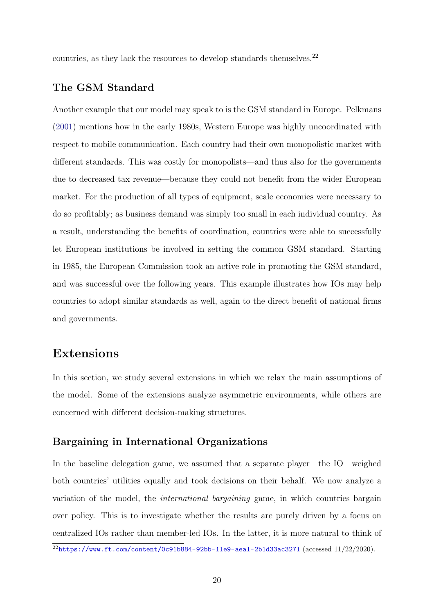countries, as they lack the resources to develop standards themselves.<sup>22</sup>

### The GSM Standard

Another example that our model may speak to is the GSM standard in Europe. Pelkmans [\(2001\)](#page-35-10) mentions how in the early 1980s, Western Europe was highly uncoordinated with respect to mobile communication. Each country had their own monopolistic market with different standards. This was costly for monopolists—and thus also for the governments due to decreased tax revenue—because they could not benefit from the wider European market. For the production of all types of equipment, scale economies were necessary to do so profitably; as business demand was simply too small in each individual country. As a result, understanding the benefits of coordination, countries were able to successfully let European institutions be involved in setting the common GSM standard. Starting in 1985, the European Commission took an active role in promoting the GSM standard, and was successful over the following years. This example illustrates how IOs may help countries to adopt similar standards as well, again to the direct benefit of national firms and governments.

# Extensions

In this section, we study several extensions in which we relax the main assumptions of the model. Some of the extensions analyze asymmetric environments, while others are concerned with different decision-making structures.

### Bargaining in International Organizations

In the baseline delegation game, we assumed that a separate player—the IO—weighed both countries' utilities equally and took decisions on their behalf. We now analyze a variation of the model, the international bargaining game, in which countries bargain over policy. This is to investigate whether the results are purely driven by a focus on centralized IOs rather than member-led IOs. In the latter, it is more natural to think of

 $^{22}$ <https://www.ft.com/content/0c91b884-92bb-11e9-aea1-2b1d33ac3271> (accessed 11/22/2020).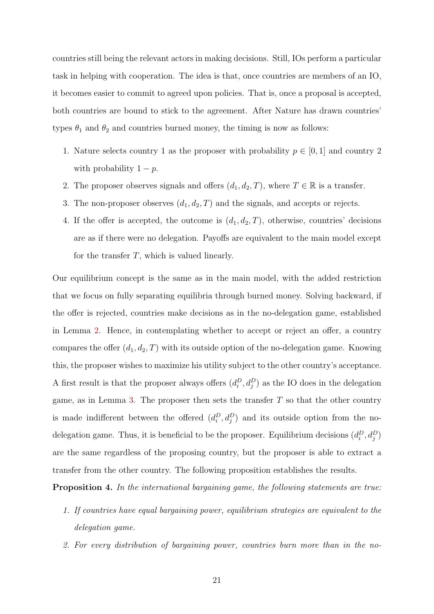countries still being the relevant actors in making decisions. Still, IOs perform a particular task in helping with cooperation. The idea is that, once countries are members of an IO, it becomes easier to commit to agreed upon policies. That is, once a proposal is accepted, both countries are bound to stick to the agreement. After Nature has drawn countries' types  $\theta_1$  and  $\theta_2$  and countries burned money, the timing is now as follows:

- 1. Nature selects country 1 as the proposer with probability  $p \in [0, 1]$  and country 2 with probability  $1 - p$ .
- 2. The proposer observes signals and offers  $(d_1, d_2, T)$ , where  $T \in \mathbb{R}$  is a transfer.
- 3. The non-proposer observes  $(d_1, d_2, T)$  and the signals, and accepts or rejects.
- 4. If the offer is accepted, the outcome is  $(d_1, d_2, T)$ , otherwise, countries' decisions are as if there were no delegation. Payoffs are equivalent to the main model except for the transfer  $T$ , which is valued linearly.

Our equilibrium concept is the same as in the main model, with the added restriction that we focus on fully separating equilibria through burned money. Solving backward, if the offer is rejected, countries make decisions as in the no-delegation game, established in Lemma [2.](#page-13-0) Hence, in contemplating whether to accept or reject an offer, a country compares the offer  $(d_1, d_2, T)$  with its outside option of the no-delegation game. Knowing this, the proposer wishes to maximize his utility subject to the other country's acceptance. A first result is that the proposer always offers  $(d_i^D, d_j^D)$  as the IO does in the delegation game, as in Lemma [3.](#page-13-1) The proposer then sets the transfer  $T$  so that the other country is made indifferent between the offered  $(d_i^D, d_j^D)$  and its outside option from the nodelegation game. Thus, it is beneficial to be the proposer. Equilibrium decisions  $(d_i^D, d_j^D)$ are the same regardless of the proposing country, but the proposer is able to extract a transfer from the other country. The following proposition establishes the results.

Proposition 4. In the international bargaining game, the following statements are true:

- 1. If countries have equal bargaining power, equilibrium strategies are equivalent to the delegation game.
- 2. For every distribution of bargaining power, countries burn more than in the no-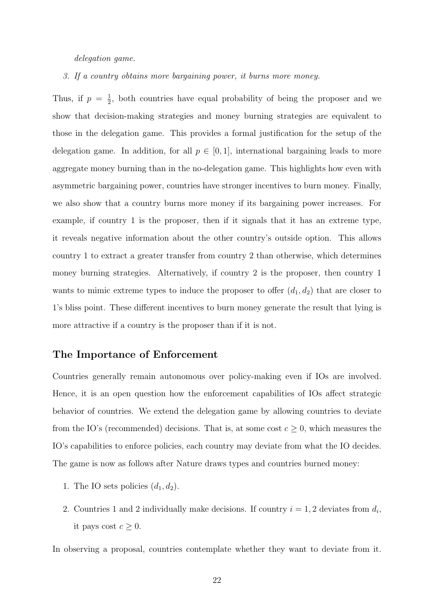delegation game.

3. If a country obtains more bargaining power, it burns more money.

Thus, if  $p = \frac{1}{2}$  $\frac{1}{2}$ , both countries have equal probability of being the proposer and we show that decision-making strategies and money burning strategies are equivalent to those in the delegation game. This provides a formal justification for the setup of the delegation game. In addition, for all  $p \in [0,1]$ , international bargaining leads to more aggregate money burning than in the no-delegation game. This highlights how even with asymmetric bargaining power, countries have stronger incentives to burn money. Finally, we also show that a country burns more money if its bargaining power increases. For example, if country 1 is the proposer, then if it signals that it has an extreme type, it reveals negative information about the other country's outside option. This allows country 1 to extract a greater transfer from country 2 than otherwise, which determines money burning strategies. Alternatively, if country 2 is the proposer, then country 1 wants to mimic extreme types to induce the proposer to offer  $(d_1, d_2)$  that are closer to 1's bliss point. These different incentives to burn money generate the result that lying is more attractive if a country is the proposer than if it is not.

### The Importance of Enforcement

Countries generally remain autonomous over policy-making even if IOs are involved. Hence, it is an open question how the enforcement capabilities of IOs affect strategic behavior of countries. We extend the delegation game by allowing countries to deviate from the IO's (recommended) decisions. That is, at some cost  $c \geq 0$ , which measures the IO's capabilities to enforce policies, each country may deviate from what the IO decides. The game is now as follows after Nature draws types and countries burned money:

- 1. The IO sets policies  $(d_1, d_2)$ .
- 2. Countries 1 and 2 individually make decisions. If country  $i = 1, 2$  deviates from  $d_i$ , it pays cost  $c \geq 0$ .

In observing a proposal, countries contemplate whether they want to deviate from it.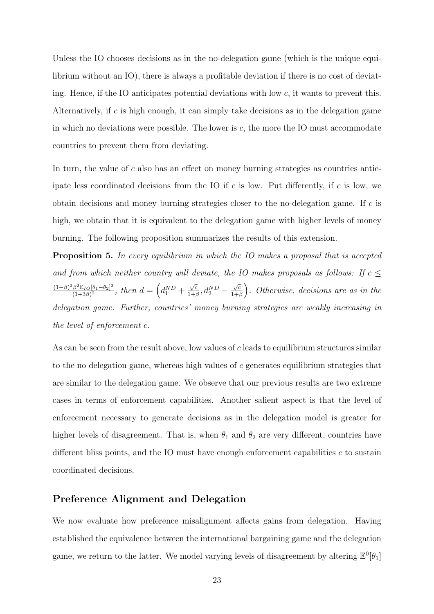Unless the IO chooses decisions as in the no-delegation game (which is the unique equilibrium without an IO), there is always a profitable deviation if there is no cost of deviating. Hence, if the IO anticipates potential deviations with low  $c$ , it wants to prevent this. Alternatively, if c is high enough, it can simply take decisions as in the delegation game in which no deviations were possible. The lower is  $c$ , the more the IO must accommodate countries to prevent them from deviating.

In turn, the value of  $c$  also has an effect on money burning strategies as countries anticipate less coordinated decisions from the IO if c is low. Put differently, if c is low, we obtain decisions and money burning strategies closer to the no-delegation game. If c is high, we obtain that it is equivalent to the delegation game with higher levels of money burning. The following proposition summarizes the results of this extension.

**Proposition 5.** In every equilibrium in which the IO makes a proposal that is accepted and from which neither country will deviate, the IO makes proposals as follows: If  $c \leq$  $(1-\beta)^2 \beta^2 \mathbb{E}_{IO} [\theta_1-\theta_2]^2$  $\frac{\beta^2 \mathbb{E}_{IO}[\theta_1 - \theta_2]^2}{(1+3\beta)^2}$ , then  $d = \left(d_1^{ND} + \right)$ √ c  $\frac{\sqrt{c}}{1+\beta}$ ,  $d_2^{ND}$  – √ c  $\frac{\sqrt{c}}{1+\beta}$ . Otherwise, decisions are as in the delegation game. Further, countries' money burning strategies are weakly increasing in the level of enforcement c.

As can be seen from the result above, low values of  $c$  leads to equilibrium structures similar to the no delegation game, whereas high values of  $c$  generates equilibrium strategies that are similar to the delegation game. We observe that our previous results are two extreme cases in terms of enforcement capabilities. Another salient aspect is that the level of enforcement necessary to generate decisions as in the delegation model is greater for higher levels of disagreement. That is, when  $\theta_1$  and  $\theta_2$  are very different, countries have different bliss points, and the IO must have enough enforcement capabilities  $c$  to sustain coordinated decisions.

### Preference Alignment and Delegation

We now evaluate how preference misalignment affects gains from delegation. Having established the equivalence between the international bargaining game and the delegation game, we return to the latter. We model varying levels of disagreement by altering  $\mathbb{E}^0[\theta_1]$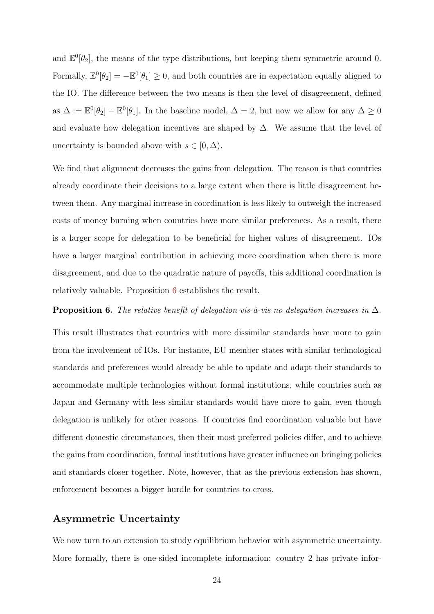and  $\mathbb{E}^0[\theta_2]$ , the means of the type distributions, but keeping them symmetric around 0. Formally,  $\mathbb{E}^0[\theta_2] = -\mathbb{E}^0[\theta_1] \geq 0$ , and both countries are in expectation equally aligned to the IO. The difference between the two means is then the level of disagreement, defined as  $\Delta := \mathbb{E}^0[\theta_2] - \mathbb{E}^0[\theta_1]$ . In the baseline model,  $\Delta = 2$ , but now we allow for any  $\Delta \geq 0$ and evaluate how delegation incentives are shaped by  $\Delta$ . We assume that the level of uncertainty is bounded above with  $s \in [0, \Delta)$ .

We find that alignment decreases the gains from delegation. The reason is that countries already coordinate their decisions to a large extent when there is little disagreement between them. Any marginal increase in coordination is less likely to outweigh the increased costs of money burning when countries have more similar preferences. As a result, there is a larger scope for delegation to be beneficial for higher values of disagreement. IOs have a larger marginal contribution in achieving more coordination when there is more disagreement, and due to the quadratic nature of payoffs, this additional coordination is relatively valuable. Proposition [6](#page-24-0) establishes the result.

<span id="page-24-0"></span>**Proposition 6.** The relative benefit of delegation vis-à-vis no delegation increases in  $\Delta$ .

This result illustrates that countries with more dissimilar standards have more to gain from the involvement of IOs. For instance, EU member states with similar technological standards and preferences would already be able to update and adapt their standards to accommodate multiple technologies without formal institutions, while countries such as Japan and Germany with less similar standards would have more to gain, even though delegation is unlikely for other reasons. If countries find coordination valuable but have different domestic circumstances, then their most preferred policies differ, and to achieve the gains from coordination, formal institutions have greater influence on bringing policies and standards closer together. Note, however, that as the previous extension has shown, enforcement becomes a bigger hurdle for countries to cross.

#### Asymmetric Uncertainty

We now turn to an extension to study equilibrium behavior with asymmetric uncertainty. More formally, there is one-sided incomplete information: country 2 has private infor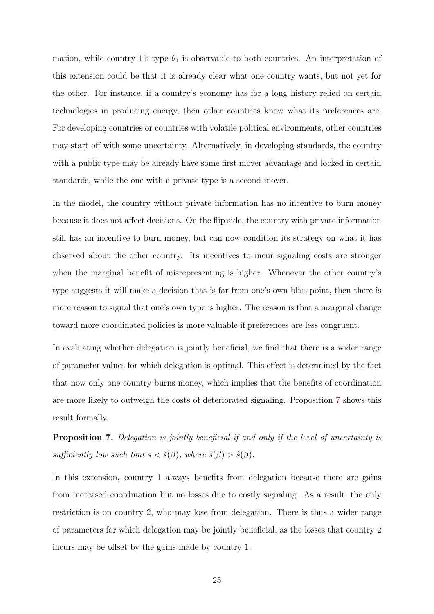mation, while country 1's type  $\theta_1$  is observable to both countries. An interpretation of this extension could be that it is already clear what one country wants, but not yet for the other. For instance, if a country's economy has for a long history relied on certain technologies in producing energy, then other countries know what its preferences are. For developing countries or countries with volatile political environments, other countries may start off with some uncertainty. Alternatively, in developing standards, the country with a public type may be already have some first mover advantage and locked in certain standards, while the one with a private type is a second mover.

In the model, the country without private information has no incentive to burn money because it does not affect decisions. On the flip side, the country with private information still has an incentive to burn money, but can now condition its strategy on what it has observed about the other country. Its incentives to incur signaling costs are stronger when the marginal benefit of misrepresenting is higher. Whenever the other country's type suggests it will make a decision that is far from one's own bliss point, then there is more reason to signal that one's own type is higher. The reason is that a marginal change toward more coordinated policies is more valuable if preferences are less congruent.

In evaluating whether delegation is jointly beneficial, we find that there is a wider range of parameter values for which delegation is optimal. This effect is determined by the fact that now only one country burns money, which implies that the benefits of coordination are more likely to outweigh the costs of deteriorated signaling. Proposition [7](#page-25-0) shows this result formally.

<span id="page-25-0"></span>Proposition 7. Delegation is jointly beneficial if and only if the level of uncertainty is sufficiently low such that  $s < \check{s}(\beta)$ , where  $\check{s}(\beta) > \hat{s}(\beta)$ .

In this extension, country 1 always benefits from delegation because there are gains from increased coordination but no losses due to costly signaling. As a result, the only restriction is on country 2, who may lose from delegation. There is thus a wider range of parameters for which delegation may be jointly beneficial, as the losses that country 2 incurs may be offset by the gains made by country 1.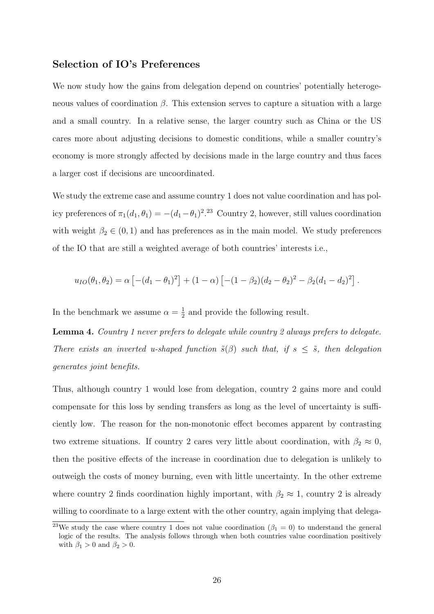### Selection of IO's Preferences

We now study how the gains from delegation depend on countries' potentially heterogeneous values of coordination  $\beta$ . This extension serves to capture a situation with a large and a small country. In a relative sense, the larger country such as China or the US cares more about adjusting decisions to domestic conditions, while a smaller country's economy is more strongly affected by decisions made in the large country and thus faces a larger cost if decisions are uncoordinated.

We study the extreme case and assume country 1 does not value coordination and has policy preferences of  $\pi_1(d_1, \theta_1) = -(d_1 - \theta_1)^{2.23}$  Country 2, however, still values coordination with weight  $\beta_2 \in (0,1)$  and has preferences as in the main model. We study preferences of the IO that are still a weighted average of both countries' interests i.e.,

$$
u_{IO}(\theta_1, \theta_2) = \alpha \left[ -(d_1 - \theta_1)^2 \right] + (1 - \alpha) \left[ -(1 - \beta_2)(d_2 - \theta_2)^2 - \beta_2(d_1 - d_2)^2 \right].
$$

In the benchmark we assume  $\alpha = \frac{1}{2}$  $\frac{1}{2}$  and provide the following result.

Lemma 4. Country 1 never prefers to delegate while country 2 always prefers to delegate. There exists an inverted u-shaped function  $\tilde{s}(\beta)$  such that, if  $s \leq \tilde{s}$ , then delegation generates joint benefits.

Thus, although country 1 would lose from delegation, country 2 gains more and could compensate for this loss by sending transfers as long as the level of uncertainty is sufficiently low. The reason for the non-monotonic effect becomes apparent by contrasting two extreme situations. If country 2 cares very little about coordination, with  $\beta_2 \approx 0$ , then the positive effects of the increase in coordination due to delegation is unlikely to outweigh the costs of money burning, even with little uncertainty. In the other extreme where country 2 finds coordination highly important, with  $\beta_2 \approx 1$ , country 2 is already willing to coordinate to a large extent with the other country, again implying that delega-

<sup>&</sup>lt;sup>23</sup>We study the case where country 1 does not value coordination ( $\beta_1 = 0$ ) to understand the general logic of the results. The analysis follows through when both countries value coordination positively with  $\beta_1 > 0$  and  $\beta_2 > 0$ .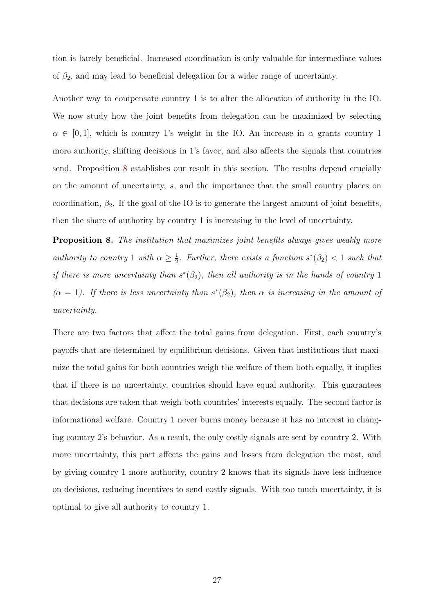tion is barely beneficial. Increased coordination is only valuable for intermediate values of  $\beta_2$ , and may lead to beneficial delegation for a wider range of uncertainty.

Another way to compensate country 1 is to alter the allocation of authority in the IO. We now study how the joint benefits from delegation can be maximized by selecting  $\alpha \in [0,1]$ , which is country 1's weight in the IO. An increase in  $\alpha$  grants country 1 more authority, shifting decisions in 1's favor, and also affects the signals that countries send. Proposition [8](#page-27-0) establishes our result in this section. The results depend crucially on the amount of uncertainty, s, and the importance that the small country places on coordination,  $\beta_2$ . If the goal of the IO is to generate the largest amount of joint benefits, then the share of authority by country 1 is increasing in the level of uncertainty.

<span id="page-27-0"></span>**Proposition 8.** The institution that maximizes joint benefits always gives weakly more authority to country 1 with  $\alpha \geq \frac{1}{2}$  $\frac{1}{2}$ . Further, there exists a function  $s^*(\beta_2) < 1$  such that if there is more uncertainty than  $s^*(\beta_2)$ , then all authority is in the hands of country 1 ( $\alpha = 1$ ). If there is less uncertainty than  $s^*(\beta_2)$ , then  $\alpha$  is increasing in the amount of uncertainty.

There are two factors that affect the total gains from delegation. First, each country's payoffs that are determined by equilibrium decisions. Given that institutions that maximize the total gains for both countries weigh the welfare of them both equally, it implies that if there is no uncertainty, countries should have equal authority. This guarantees that decisions are taken that weigh both countries' interests equally. The second factor is informational welfare. Country 1 never burns money because it has no interest in changing country 2's behavior. As a result, the only costly signals are sent by country 2. With more uncertainty, this part affects the gains and losses from delegation the most, and by giving country 1 more authority, country 2 knows that its signals have less influence on decisions, reducing incentives to send costly signals. With too much uncertainty, it is optimal to give all authority to country 1.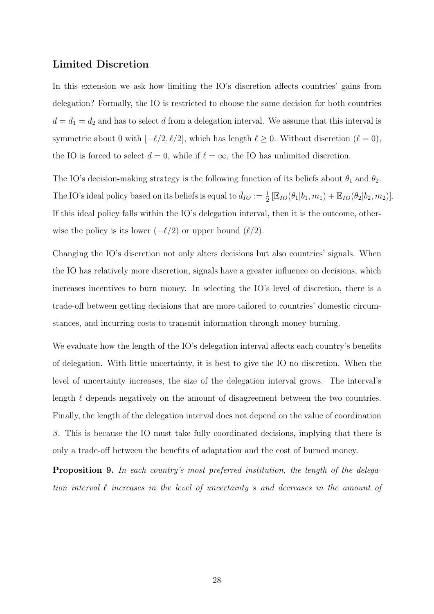### Limited Discretion

In this extension we ask how limiting the IO's discretion affects countries' gains from delegation? Formally, the IO is restricted to choose the same decision for both countries  $d = d_1 = d_2$  and has to select d from a delegation interval. We assume that this interval is symmetric about 0 with  $[-\ell/2, \ell/2]$ , which has length  $\ell \ge 0$ . Without discretion  $(\ell = 0)$ , the IO is forced to select  $d = 0$ , while if  $\ell = \infty$ , the IO has unlimited discretion.

The IO's decision-making strategy is the following function of its beliefs about  $\theta_1$  and  $\theta_2$ . The IO's ideal policy based on its beliefs is equal to  $\hat{d}_{IO} := \frac{1}{2} [\mathbb{E}_{IO}(\theta_1 | b_1, m_1) + \mathbb{E}_{IO}(\theta_2 | b_2, m_2)].$ If this ideal policy falls within the IO's delegation interval, then it is the outcome, otherwise the policy is its lower  $(-\ell/2)$  or upper bound  $(\ell/2)$ .

Changing the IO's discretion not only alters decisions but also countries' signals. When the IO has relatively more discretion, signals have a greater influence on decisions, which increases incentives to burn money. In selecting the IO's level of discretion, there is a trade-off between getting decisions that are more tailored to countries' domestic circumstances, and incurring costs to transmit information through money burning.

We evaluate how the length of the IO's delegation interval affects each country's benefits of delegation. With little uncertainty, it is best to give the IO no discretion. When the level of uncertainty increases, the size of the delegation interval grows. The interval's length  $\ell$  depends negatively on the amount of disagreement between the two countries. Finally, the length of the delegation interval does not depend on the value of coordination  $\beta$ . This is because the IO must take fully coordinated decisions, implying that there is only a trade-off between the benefits of adaptation and the cost of burned money.

Proposition 9. In each country's most preferred institution, the length of the delegation interval  $\ell$  increases in the level of uncertainty s and decreases in the amount of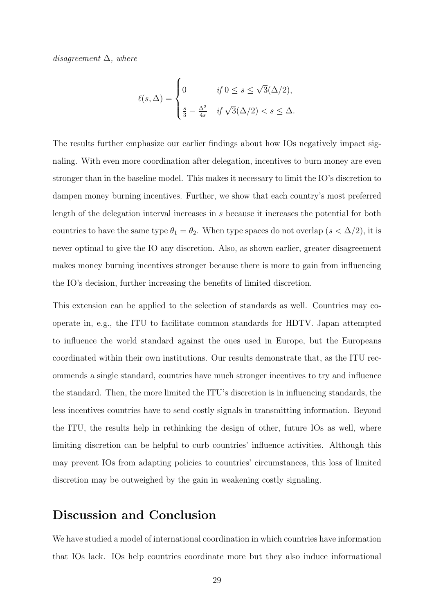disagreement  $\Delta$ , where

$$
\ell(s,\Delta) = \begin{cases} 0 & \text{if } 0 \le s \le \sqrt{3}(\Delta/2), \\ \frac{s}{3} - \frac{\Delta^2}{4s} & \text{if } \sqrt{3}(\Delta/2) < s \le \Delta. \end{cases}
$$

The results further emphasize our earlier findings about how IOs negatively impact signaling. With even more coordination after delegation, incentives to burn money are even stronger than in the baseline model. This makes it necessary to limit the IO's discretion to dampen money burning incentives. Further, we show that each country's most preferred length of the delegation interval increases in s because it increases the potential for both countries to have the same type  $\theta_1 = \theta_2$ . When type spaces do not overlap  $(s < \Delta/2)$ , it is never optimal to give the IO any discretion. Also, as shown earlier, greater disagreement makes money burning incentives stronger because there is more to gain from influencing the IO's decision, further increasing the benefits of limited discretion.

This extension can be applied to the selection of standards as well. Countries may cooperate in, e.g., the ITU to facilitate common standards for HDTV. Japan attempted to influence the world standard against the ones used in Europe, but the Europeans coordinated within their own institutions. Our results demonstrate that, as the ITU recommends a single standard, countries have much stronger incentives to try and influence the standard. Then, the more limited the ITU's discretion is in influencing standards, the less incentives countries have to send costly signals in transmitting information. Beyond the ITU, the results help in rethinking the design of other, future IOs as well, where limiting discretion can be helpful to curb countries' influence activities. Although this may prevent IOs from adapting policies to countries' circumstances, this loss of limited discretion may be outweighed by the gain in weakening costly signaling.

# Discussion and Conclusion

We have studied a model of international coordination in which countries have information that IOs lack. IOs help countries coordinate more but they also induce informational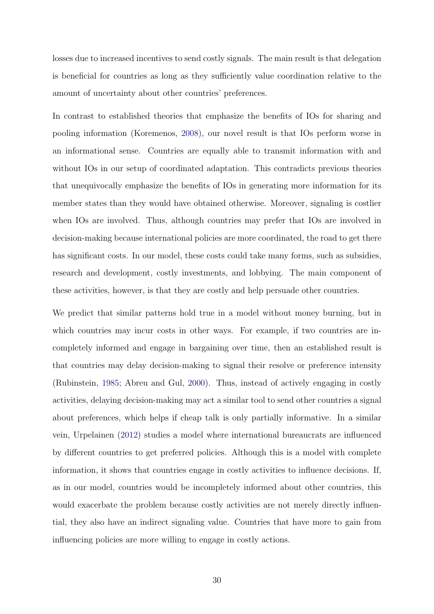losses due to increased incentives to send costly signals. The main result is that delegation is beneficial for countries as long as they sufficiently value coordination relative to the amount of uncertainty about other countries' preferences.

In contrast to established theories that emphasize the benefits of IOs for sharing and pooling information (Koremenos, [2008\)](#page-35-0), our novel result is that IOs perform worse in an informational sense. Countries are equally able to transmit information with and without IOs in our setup of coordinated adaptation. This contradicts previous theories that unequivocally emphasize the benefits of IOs in generating more information for its member states than they would have obtained otherwise. Moreover, signaling is costlier when IOs are involved. Thus, although countries may prefer that IOs are involved in decision-making because international policies are more coordinated, the road to get there has significant costs. In our model, these costs could take many forms, such as subsidies, research and development, costly investments, and lobbying. The main component of these activities, however, is that they are costly and help persuade other countries.

We predict that similar patterns hold true in a model without money burning, but in which countries may incur costs in other ways. For example, if two countries are incompletely informed and engage in bargaining over time, then an established result is that countries may delay decision-making to signal their resolve or preference intensity (Rubinstein, [1985;](#page-35-11) Abreu and Gul, [2000\)](#page-33-13). Thus, instead of actively engaging in costly activities, delaying decision-making may act a similar tool to send other countries a signal about preferences, which helps if cheap talk is only partially informative. In a similar vein, Urpelainen [\(2012\)](#page-36-4) studies a model where international bureaucrats are influenced by different countries to get preferred policies. Although this is a model with complete information, it shows that countries engage in costly activities to influence decisions. If, as in our model, countries would be incompletely informed about other countries, this would exacerbate the problem because costly activities are not merely directly influential, they also have an indirect signaling value. Countries that have more to gain from influencing policies are more willing to engage in costly actions.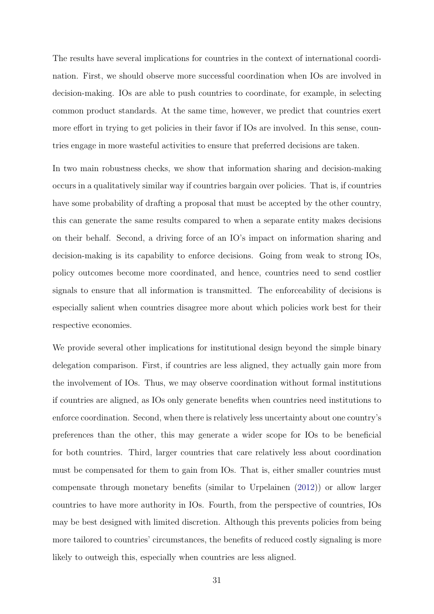The results have several implications for countries in the context of international coordination. First, we should observe more successful coordination when IOs are involved in decision-making. IOs are able to push countries to coordinate, for example, in selecting common product standards. At the same time, however, we predict that countries exert more effort in trying to get policies in their favor if IOs are involved. In this sense, countries engage in more wasteful activities to ensure that preferred decisions are taken.

In two main robustness checks, we show that information sharing and decision-making occurs in a qualitatively similar way if countries bargain over policies. That is, if countries have some probability of drafting a proposal that must be accepted by the other country, this can generate the same results compared to when a separate entity makes decisions on their behalf. Second, a driving force of an IO's impact on information sharing and decision-making is its capability to enforce decisions. Going from weak to strong IOs, policy outcomes become more coordinated, and hence, countries need to send costlier signals to ensure that all information is transmitted. The enforceability of decisions is especially salient when countries disagree more about which policies work best for their respective economies.

We provide several other implications for institutional design beyond the simple binary delegation comparison. First, if countries are less aligned, they actually gain more from the involvement of IOs. Thus, we may observe coordination without formal institutions if countries are aligned, as IOs only generate benefits when countries need institutions to enforce coordination. Second, when there is relatively less uncertainty about one country's preferences than the other, this may generate a wider scope for IOs to be beneficial for both countries. Third, larger countries that care relatively less about coordination must be compensated for them to gain from IOs. That is, either smaller countries must compensate through monetary benefits (similar to Urpelainen [\(2012\)](#page-36-4)) or allow larger countries to have more authority in IOs. Fourth, from the perspective of countries, IOs may be best designed with limited discretion. Although this prevents policies from being more tailored to countries' circumstances, the benefits of reduced costly signaling is more likely to outweigh this, especially when countries are less aligned.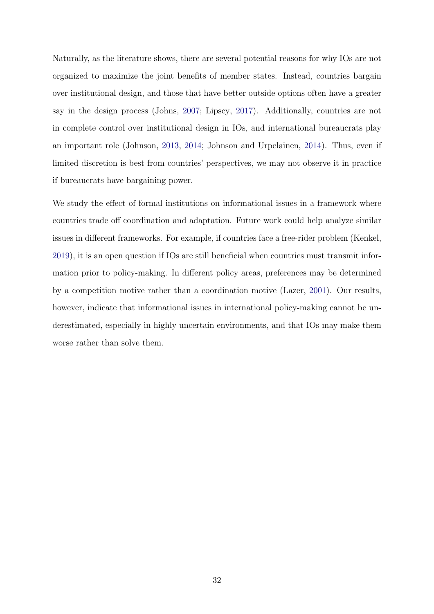Naturally, as the literature shows, there are several potential reasons for why IOs are not organized to maximize the joint benefits of member states. Instead, countries bargain over institutional design, and those that have better outside options often have a greater say in the design process (Johns, [2007;](#page-34-2) Lipscy, [2017\)](#page-35-12). Additionally, countries are not in complete control over institutional design in IOs, and international bureaucrats play an important role (Johnson, [2013,](#page-34-11) [2014;](#page-34-12) Johnson and Urpelainen, [2014\)](#page-34-13). Thus, even if limited discretion is best from countries' perspectives, we may not observe it in practice if bureaucrats have bargaining power.

We study the effect of formal institutions on informational issues in a framework where countries trade off coordination and adaptation. Future work could help analyze similar issues in different frameworks. For example, if countries face a free-rider problem (Kenkel, [2019\)](#page-35-3), it is an open question if IOs are still beneficial when countries must transmit information prior to policy-making. In different policy areas, preferences may be determined by a competition motive rather than a coordination motive (Lazer, [2001\)](#page-35-13). Our results, however, indicate that informational issues in international policy-making cannot be underestimated, especially in highly uncertain environments, and that IOs may make them worse rather than solve them.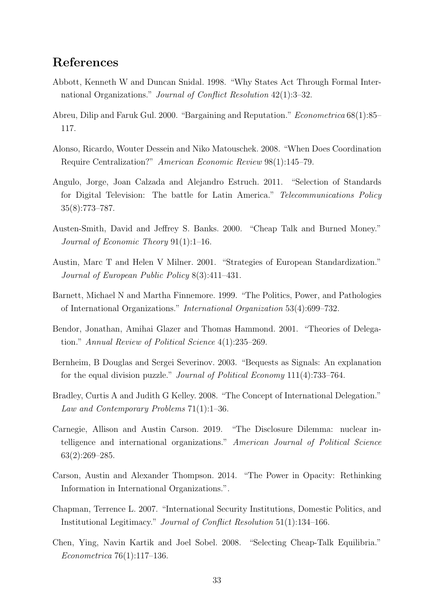# References

- <span id="page-33-0"></span>Abbott, Kenneth W and Duncan Snidal. 1998. "Why States Act Through Formal International Organizations." Journal of Conflict Resolution 42(1):3–32.
- <span id="page-33-13"></span>Abreu, Dilip and Faruk Gul. 2000. "Bargaining and Reputation." Econometrica 68(1):85– 117.
- <span id="page-33-7"></span>Alonso, Ricardo, Wouter Dessein and Niko Matouschek. 2008. "When Does Coordination Require Centralization?" American Economic Review 98(1):145–79.
- <span id="page-33-12"></span>Angulo, Jorge, Joan Calzada and Alejandro Estruch. 2011. "Selection of Standards for Digital Television: The battle for Latin America." Telecommunications Policy 35(8):773–787.
- <span id="page-33-8"></span>Austen-Smith, David and Jeffrey S. Banks. 2000. "Cheap Talk and Burned Money." Journal of Economic Theory 91(1):1–16.
- <span id="page-33-11"></span>Austin, Marc T and Helen V Milner. 2001. "Strategies of European Standardization." Journal of European Public Policy 8(3):411–431.
- <span id="page-33-4"></span>Barnett, Michael N and Martha Finnemore. 1999. "The Politics, Power, and Pathologies of International Organizations." International Organization 53(4):699–732.
- <span id="page-33-3"></span>Bendor, Jonathan, Amihai Glazer and Thomas Hammond. 2001. "Theories of Delegation." Annual Review of Political Science 4(1):235–269.
- <span id="page-33-10"></span>Bernheim, B Douglas and Sergei Severinov. 2003. "Bequests as Signals: An explanation for the equal division puzzle." Journal of Political Economy 111(4):733–764.
- <span id="page-33-1"></span>Bradley, Curtis A and Judith G Kelley. 2008. "The Concept of International Delegation." Law and Contemporary Problems 71(1):1–36.
- <span id="page-33-6"></span>Carnegie, Allison and Austin Carson. 2019. "The Disclosure Dilemma: nuclear intelligence and international organizations." American Journal of Political Science 63(2):269–285.
- <span id="page-33-5"></span>Carson, Austin and Alexander Thompson. 2014. "The Power in Opacity: Rethinking Information in International Organizations.".
- <span id="page-33-2"></span>Chapman, Terrence L. 2007. "International Security Institutions, Domestic Politics, and Institutional Legitimacy." Journal of Conflict Resolution 51(1):134–166.
- <span id="page-33-9"></span>Chen, Ying, Navin Kartik and Joel Sobel. 2008. "Selecting Cheap-Talk Equilibria." Econometrica 76(1):117–136.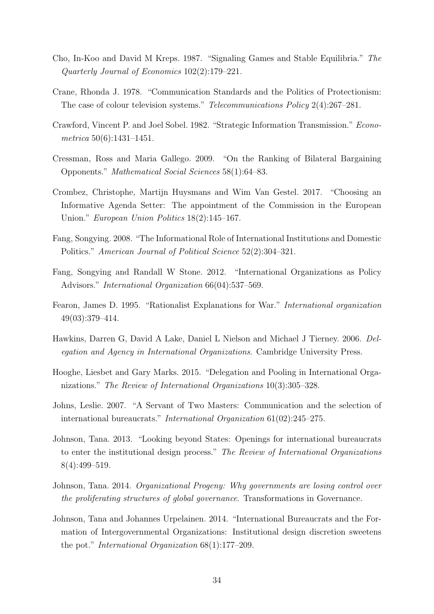- <span id="page-34-9"></span>Cho, In-Koo and David M Kreps. 1987. "Signaling Games and Stable Equilibria." The Quarterly Journal of Economics 102(2):179–221.
- <span id="page-34-10"></span>Crane, Rhonda J. 1978. "Communication Standards and the Politics of Protectionism: The case of colour television systems." Telecommunications Policy 2(4):267–281.
- <span id="page-34-7"></span>Crawford, Vincent P. and Joel Sobel. 1982. "Strategic Information Transmission." Econometrica 50(6):1431–1451.
- <span id="page-34-8"></span>Cressman, Ross and Maria Gallego. 2009. "On the Ranking of Bilateral Bargaining Opponents." Mathematical Social Sciences 58(1):64–83.
- <span id="page-34-4"></span>Crombez, Christophe, Martijn Huysmans and Wim Van Gestel. 2017. "Choosing an Informative Agenda Setter: The appointment of the Commission in the European Union." European Union Politics 18(2):145–167.
- <span id="page-34-5"></span>Fang, Songying. 2008. "The Informational Role of International Institutions and Domestic Politics." American Journal of Political Science 52(2):304–321.
- <span id="page-34-3"></span>Fang, Songying and Randall W Stone. 2012. "International Organizations as Policy Advisors." International Organization 66(04):537–569.
- <span id="page-34-6"></span>Fearon, James D. 1995. "Rationalist Explanations for War." International organization 49(03):379–414.
- <span id="page-34-0"></span>Hawkins, Darren G, David A Lake, Daniel L Nielson and Michael J Tierney. 2006. Delegation and Agency in International Organizations. Cambridge University Press.
- <span id="page-34-1"></span>Hooghe, Liesbet and Gary Marks. 2015. "Delegation and Pooling in International Organizations." The Review of International Organizations 10(3):305–328.
- <span id="page-34-2"></span>Johns, Leslie. 2007. "A Servant of Two Masters: Communication and the selection of international bureaucrats." International Organization 61(02):245–275.
- <span id="page-34-11"></span>Johnson, Tana. 2013. "Looking beyond States: Openings for international bureaucrats to enter the institutional design process." The Review of International Organizations 8(4):499–519.
- <span id="page-34-12"></span>Johnson, Tana. 2014. Organizational Progeny: Why governments are losing control over the proliferating structures of global governance. Transformations in Governance.
- <span id="page-34-13"></span>Johnson, Tana and Johannes Urpelainen. 2014. "International Bureaucrats and the Formation of Intergovernmental Organizations: Institutional design discretion sweetens the pot." International Organization 68(1):177–209.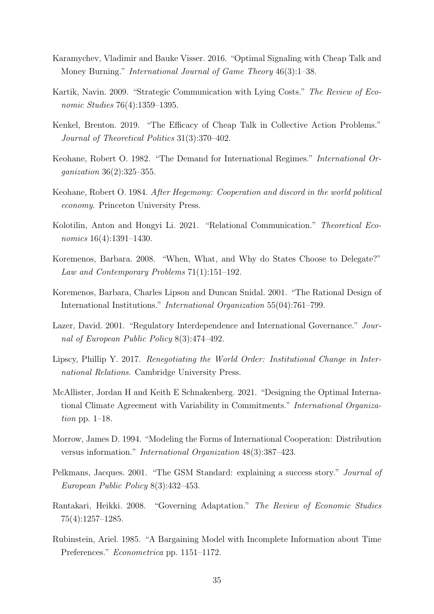- <span id="page-35-8"></span>Karamychev, Vladimir and Bauke Visser. 2016. "Optimal Signaling with Cheap Talk and Money Burning." International Journal of Game Theory 46(3):1–38.
- <span id="page-35-14"></span>Kartik, Navin. 2009. "Strategic Communication with Lying Costs." The Review of Economic Studies 76(4):1359–1395.
- <span id="page-35-3"></span>Kenkel, Brenton. 2019. "The Efficacy of Cheap Talk in Collective Action Problems." Journal of Theoretical Politics 31(3):370–402.
- <span id="page-35-4"></span>Keohane, Robert O. 1982. "The Demand for International Regimes." International Organization 36(2):325–355.
- <span id="page-35-2"></span>Keohane, Robert O. 1984. After Hegemony: Cooperation and discord in the world political economy. Princeton University Press.
- <span id="page-35-9"></span>Kolotilin, Anton and Hongyi Li. 2021. "Relational Communication." Theoretical Economics  $16(4):1391-1430$ .
- <span id="page-35-0"></span>Koremenos, Barbara. 2008. "When, What, and Why do States Choose to Delegate?" Law and Contemporary Problems 71(1):151–192.
- <span id="page-35-1"></span>Koremenos, Barbara, Charles Lipson and Duncan Snidal. 2001. "The Rational Design of International Institutions." International Organization 55(04):761–799.
- <span id="page-35-13"></span>Lazer, David. 2001. "Regulatory Interdependence and International Governance." Journal of European Public Policy 8(3):474–492.
- <span id="page-35-12"></span>Lipscy, Phillip Y. 2017. Renegotiating the World Order: Institutional Change in International Relations. Cambridge University Press.
- <span id="page-35-6"></span>McAllister, Jordan H and Keith E Schnakenberg. 2021. "Designing the Optimal International Climate Agreement with Variability in Commitments." International Organization pp.  $1-18$ .
- <span id="page-35-5"></span>Morrow, James D. 1994. "Modeling the Forms of International Cooperation: Distribution versus information." International Organization 48(3):387–423.
- <span id="page-35-10"></span>Pelkmans, Jacques. 2001. "The GSM Standard: explaining a success story." Journal of European Public Policy 8(3):432–453.
- <span id="page-35-7"></span>Rantakari, Heikki. 2008. "Governing Adaptation." The Review of Economic Studies 75(4):1257–1285.
- <span id="page-35-11"></span>Rubinstein, Ariel. 1985. "A Bargaining Model with Incomplete Information about Time Preferences." Econometrica pp. 1151–1172.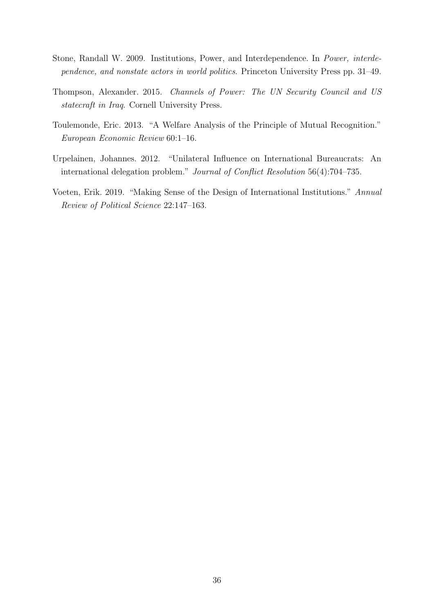- <span id="page-36-2"></span>Stone, Randall W. 2009. Institutions, Power, and Interdependence. In Power, interdependence, and nonstate actors in world politics. Princeton University Press pp. 31–49.
- <span id="page-36-0"></span>Thompson, Alexander. 2015. Channels of Power: The UN Security Council and US statecraft in Iraq. Cornell University Press.
- <span id="page-36-3"></span>Toulemonde, Eric. 2013. "A Welfare Analysis of the Principle of Mutual Recognition." European Economic Review 60:1–16.
- <span id="page-36-4"></span>Urpelainen, Johannes. 2012. "Unilateral Influence on International Bureaucrats: An international delegation problem." Journal of Conflict Resolution 56(4):704–735.
- <span id="page-36-1"></span>Voeten, Erik. 2019. "Making Sense of the Design of International Institutions." Annual Review of Political Science 22:147–163.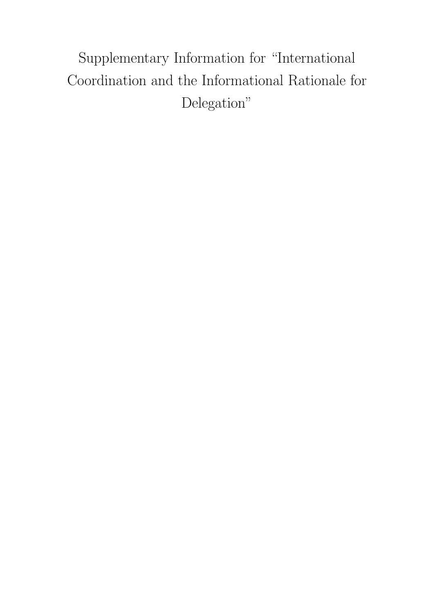Supplementary Information for "International Coordination and the Informational Rationale for Delegation"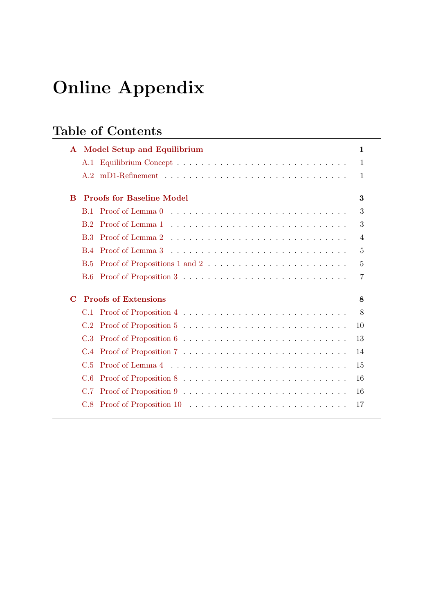# Online Appendix

# Table of Contents

| $\mathbf{A}$ | <b>Model Setup and Equilibrium</b> | 1  |
|--------------|------------------------------------|----|
|              |                                    | 1  |
|              |                                    | 1  |
| B            | <b>Proofs for Baseline Model</b>   | 3  |
|              | <b>B.1</b>                         | 3  |
|              | B <sub>2</sub>                     | 3  |
|              | B.3                                | 4  |
|              | <b>B.4</b>                         | 5  |
|              | <b>B.5</b>                         | 5  |
|              | B.6                                | 7  |
| $\mathbf C$  | <b>Proofs of Extensions</b>        | 8  |
|              | C.1                                | 8  |
|              | C.2                                | 10 |
|              | C.3                                | 13 |
|              | C.4                                | 14 |
|              | C.5                                | 15 |
|              | C.6                                | 16 |
|              | C.7                                | 16 |
|              | C.8                                | 17 |
|              |                                    |    |

<u> 1980 - Johann Barn, mars eta bainar eta baina eta baina eta baina eta baina eta baina eta baina eta baina e</u>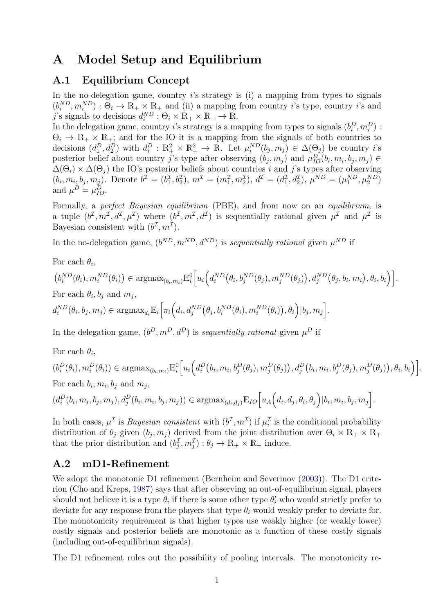# <span id="page-39-0"></span>A Model Setup and Equilibrium

# <span id="page-39-1"></span>A.1 Equilibrium Concept

In the no-delegation game, country  $i$ 's strategy is (i) a mapping from types to signals  $(b_i^{ND}, m_i^{ND}) : \Theta_i \to \mathbb{R}_+ \times \mathbb{R}_+$  and (ii) a mapping from country *i*'s type, country *i*'s and j's signals to decisions  $d_i^{ND}$ :  $\Theta_i \times \mathbb{R}_+ \times \mathbb{R}_+ \to \mathbb{R}$ .

In the delegation game, country *i*'s strategy is a mapping from types to signals  $(b_i^D, m_i^D)$ :  $\Theta_i \to \mathbb{R}_+ \times \mathbb{R}_+$ ; and for the IO it is a mapping from the signals of both countries to decisions  $(d_1^D, d_2^D)$  with  $d_i^D : \mathbb{R}_+^2 \times \mathbb{R}_+^2 \to \mathbb{R}$ . Let  $\mu_i^{ND}(b_j, m_j) \in \Delta(\Theta_j)$  be country *i*'s posterior belief about country j's type after observing  $(b_j, m_j)$  and  $\mu_{IO}^D(b_i, m_i, b_j, m_j) \in$  $\Delta(\Theta_i) \times \Delta(\Theta_j)$  the IO's posterior beliefs about countries i and j's types after observing  $(b_i, m_i, b_j, m_j)$ . Denote  $b^{\mathcal{I}} = (b_1^{\mathcal{I}}, b_2^{\mathcal{I}}), m^{\mathcal{I}} = (m_1^{\mathcal{I}}, m_2^{\mathcal{I}}), d^{\mathcal{I}} = (d_1^{\mathcal{I}}, d_2^{\mathcal{I}}), \mu^{ND} = (\mu_1^{ND}, \mu_2^{ND})$ and  $\mu^D = \mu_{IO}^D$ .

Formally, a perfect Bayesian equilibrium (PBE), and from now on an equilibrium, is a tuple  $(b^{\mathcal{I}}, m^{\mathcal{I}}, d^{\mathcal{I}}, \mu^{\mathcal{I}})$  where  $(b^{\mathcal{I}}, m^{\mathcal{I}}, d^{\mathcal{I}})$  is sequentially rational given  $\mu^{\mathcal{I}}$  and  $\mu^{\mathcal{I}}$  is Bayesian consistent with  $(b^{\mathcal{I}}, m^{\mathcal{I}})$ .

In the no-delegation game,  $(b^{ND}, m^{ND}, d^{ND})$  is sequentially rational given  $\mu^{ND}$  if

For each  $\theta_i$ ,

$$
(b_i^{ND}(\theta_i), m_i^{ND}(\theta_i)) \in \operatorname{argmax}_{(b_i, m_i)} \mathbb{E}_i^0 \Big[ u_i \Big( d_i^{ND}(\theta_i, b_j^{ND}(\theta_j), m_j^{ND}(\theta_j)), d_j^{ND}(\theta_j, b_i, m_i), \theta_i, b_i \Big) \Big].
$$
  
For each  $\theta_i, b_j$  and  $m_j$ ,

 $d_i^{ND}(\theta_i, b_j, m_j) \in \text{argmax}_{d_i} \mathbb{E}_i \Big[ \pi_i \Big( d_i, d_j^{ND}(\theta_j, b_i^{ND}(\theta_i), m_i^{ND}(\theta_i)), \theta_i \Big) | b_j, m_j \Big].$ 

In the delegation game,  $(b^D, m^D, d^D)$  is sequentially rational given  $\mu^D$  if

For each  $\theta_i$ ,

$$
(b_i^D(\theta_i), m_i^D(\theta_i)) \in \operatorname{argmax}_{(b_i, m_i)} \mathbb{E}_i^0 \Big[ u_i \Big( d_i^D\big(b_i, m_i, b_j^D(\theta_j), m_j^D(\theta_j) \big), d_j^D\big(b_i, m_i, b_j^D(\theta_j), m_j^D(\theta_j) \big), \theta_i, b_i \Big) \Big].
$$
  
For each  $b_i, m_i, b_j$  and  $m_j$ ,

$$
(d_i^D(b_i, m_i, b_j, m_j), d_j^D(b_i, m_i, b_j, m_j)) \in \operatorname{argmax}_{(d_i, d_j)} \mathbb{E}_{IO}\left[u_A\left(d_i, d_j, \theta_i, \theta_j\right)|b_i, m_i, b_j, m_j\right].
$$

In both cases,  $\mu^{\mathcal{I}}$  is *Bayesian consistent* with  $(b^{\mathcal{I}}, m^{\mathcal{I}})$  if  $\mu_i^{\mathcal{I}}$  is the conditional probability distribution of  $\theta_j$  given  $(b_j, m_j)$  derived from the joint distribution over  $\Theta_i \times \mathbb{R}_+ \times \mathbb{R}_+$ that the prior distribution and  $(b_j^{\mathcal{I}}, m_j^{\mathcal{I}}) : \theta_j \to \mathbb{R}_+ \times \mathbb{R}_+$  induce.

#### <span id="page-39-2"></span>A.2 mD1-Refinement

We adopt the monotonic D1 refinement (Bernheim and Severinov [\(2003\)](#page-33-10)). The D1 criterion (Cho and Kreps, [1987\)](#page-34-9) says that after observing an out-of-equilibrium signal, players should not believe it is a type  $\theta_i$  if there is some other type  $\theta_i'$  who would strictly prefer to deviate for any response from the players that type  $\theta_i$  would weakly prefer to deviate for. The monotonicity requirement is that higher types use weakly higher (or weakly lower) costly signals and posterior beliefs are monotonic as a function of these costly signals (including out-of-equilibrium signals).

The D1 refinement rules out the possibility of pooling intervals. The monotonicity re-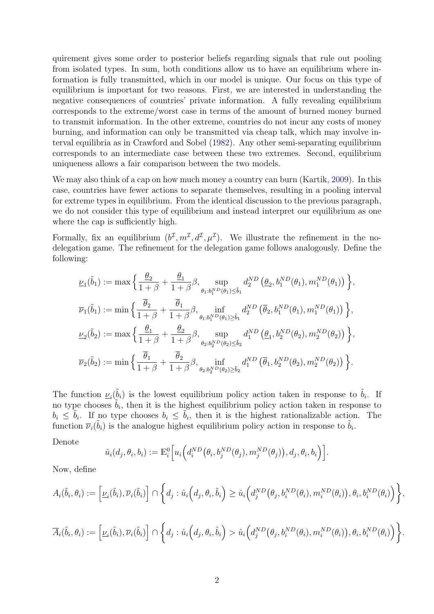quirement gives some order to posterior beliefs regarding signals that rule out pooling from isolated types. In sum, both conditions allow us to have an equilibrium where information is fully transmitted, which in our model is unique. Our focus on this type of equilibrium is important for two reasons. First, we are interested in understanding the negative consequences of countries' private information. A fully revealing equilibrium corresponds to the extreme/worst case in terms of the amount of burned money burned to transmit information. In the other extreme, countries do not incur any costs of money burning, and information can only be transmitted via cheap talk, which may involve interval equilibria as in Crawford and Sobel [\(1982\)](#page-34-7). Any other semi-separating equilibrium corresponds to an intermediate case between these two extremes. Second, equilibrium uniqueness allows a fair comparison between the two models.

We may also think of a cap on how much money a country can burn (Kartik, [2009\)](#page-35-14). In this case, countries have fewer actions to separate themselves, resulting in a pooling interval for extreme types in equilibrium. From the identical discussion to the previous paragraph, we do not consider this type of equilibrium and instead interpret our equilibrium as one where the cap is sufficiently high.

Formally, fix an equilibrium  $(b^{\mathcal{I}}, m^{\mathcal{I}}, d^{\mathcal{I}}, \mu^{\mathcal{I}})$ . We illustrate the refinement in the nodelegation game. The refinement for the delegation game follows analogously. Define the following:

$$
\begin{split} &\underline{\nu}_{1}(\tilde{b}_{1}):=\max\Big\{\frac{\underline{\theta}_{2}}{1+\beta}+\frac{\underline{\theta}_{1}}{1+\beta}\beta,\sup_{\theta_{1}:b_{1}^{ND}(\theta_{1})\leq\tilde{b}_{1}}d_{2}^{ND}\left(\underline{\theta}_{2},b_{1}^{ND}(\theta_{1}),m_{1}^{ND}(\theta_{1})\right)\Big\},\\ &\overline{\nu}_{1}(\tilde{b}_{1}):=\min\Big\{\frac{\overline{\theta}_{2}}{1+\beta}+\frac{\overline{\theta}_{1}}{1+\beta}\beta,\inf_{\theta_{1}:b_{1}^{ND}(\theta_{1})\geq\tilde{b}_{1}}d_{2}^{ND}\left(\overline{\theta}_{2},b_{1}^{ND}(\theta_{1}),m_{1}^{ND}(\theta_{1})\right)\Big\},\\ &\underline{\nu}_{2}(\tilde{b}_{2}):=\max\Big\{\frac{\underline{\theta}_{1}}{1+\beta}+\frac{\underline{\theta}_{2}}{1+\beta}\beta,\sup_{\theta_{2}:b_{2}^{ND}(\theta_{2})\leq\tilde{b}_{2}}d_{1}^{ND}\left(\underline{\theta}_{1},b_{2}^{ND}(\theta_{2}),m_{2}^{ND}(\theta_{2})\right)\Big\},\\ &\overline{\nu}_{2}(\tilde{b}_{2}):=\min\Big\{\frac{\overline{\theta}_{1}}{1+\beta}+\frac{\overline{\theta}_{2}}{1+\beta}\beta,\inf_{\theta_{2}:b_{2}^{ND}(\theta_{2})\geq\tilde{b}_{2}}d_{1}^{ND}\left(\overline{\theta}_{1},b_{2}^{ND}(\theta_{2}),m_{2}^{ND}(\theta_{2})\right)\Big\}. \end{split}
$$

The function  $\underline{\nu}_i(\tilde{b}_i)$  is the lowest equilibrium policy action taken in response to  $\tilde{b}_i$ . If no type chooses  $\tilde{b}_i$ , then it is the highest equilibrium policy action taken in response to  $b_i \leq \tilde{b}_i$ . If no type chooses  $b_i \leq \tilde{b}_i$ , then it is the highest rationalizable action. The function  $\bar{\nu}_i(\tilde{b}_i)$  is the analogue highest equilibrium policy action in response to  $\tilde{b}_i$ .

Denote

$$
\hat{u}_i(d_j, \theta_i, b_i) := \mathbb{E}_i^0 \Big[ u_i \Big( d_i^{ND} \big( \theta_i, b_j^{ND}(\theta_j), m_j^{ND}(\theta_j) \big), d_j, \theta_i, b_i \Big) \Big].
$$

Now, define

$$
A_i(\tilde{b}_i, \theta_i) := \left[ \underline{\nu}_i(\tilde{b}_i), \overline{\nu}_i(\tilde{b}_i) \right] \cap \left\{ d_j : \hat{u}_i\Big(d_j, \theta_i, \tilde{b}_i\Big) \geq \hat{u}_i\Big(d_j^{ND}(\theta_j, b_i^{ND}(\theta_i), m_i^{ND}(\theta_i)\Big), \theta_i, b_i^{ND}(\theta_i)\Big) \right\},
$$

$$
\overline{A}_i(\tilde{b}_i,\theta_i) := \left[\underline{\nu}_i(\tilde{b}_i),\overline{\nu}_i(\tilde{b}_i)\right] \cap \left\{d_j : \hat{u}_i\Big(d_j,\theta_i,\tilde{b}_i\Big) > \hat{u}_i\Big(d_j^{ND}\big(\theta_j,b_i^{ND}(\theta_i),m_i^{ND}(\theta_i)\big),\theta_i,b_i^{ND}(\theta_i)\Big)\right\}.
$$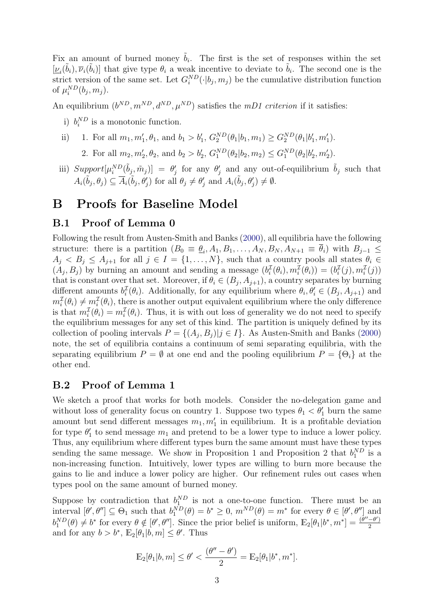Fix an amount of burned money  $\tilde{b}_i$ . The first is the set of responses within the set  $[\underline{\nu}_i(\tilde{b}_i), \overline{\nu}_i(\tilde{b}_i)]$  that give type  $\theta_i$  a weak incentive to deviate to  $\tilde{b}_i$ . The second one is the strict version of the same set. Let  $G_i^{ND}(\cdot|b_j, m_j)$  be the cumulative distribution function of  $\mu_i^{ND}(b_j, m_j)$ .

An equilibrium  $(b^{ND}, m^{ND}, d^{ND}, \mu^{ND})$  satisfies the *mD1 criterion* if it satisfies:

- i)  $b_i^{ND}$  is a monotonic function.
- ii) 1. For all  $m_1, m'_1, \theta_1$ , and  $b_1 > b'_1$ ,  $G_2^{ND}(\theta_1 | b_1, m_1) \ge G_2^{ND}(\theta_1 | b'_1, m'_1)$ .
	- 2. For all  $m_2, m'_2, \theta_2$ , and  $b_2 > b'_2$ ,  $G_1^{ND}(\theta_2|b_2, m_2) \le G_1^{ND}(\theta_2|b'_2, m'_2)$ .
- iii)  $Support[\mu_i^{ND}(\tilde{b}_j, \tilde{m}_j)] = \theta'_j$  for any  $\theta'_j$  and any out-of-equilibrium  $\tilde{b}_j$  such that  $A_i(\tilde{b}_j, \theta_j) \subseteq \overline{A}_i(\tilde{b}_j, \theta'_j)$  for all  $\theta_j \neq \theta'_j$  and  $A_i(\tilde{b}_j, \theta'_j) \neq \emptyset$ .

# <span id="page-41-0"></span>B Proofs for Baseline Model

# <span id="page-41-1"></span>B.1 Proof of Lemma 0

Following the result from Austen-Smith and Banks [\(2000\)](#page-33-8), all equilibria have the following structure: there is a partition  $(B_0 \equiv \underline{\theta}_i, A_1, B_1, \ldots, A_N, B_N, A_{N+1} \equiv \theta_i)$  with  $B_{j-1} \leq$  $A_j < B_j \leq A_{j+1}$  for all  $j \in I = \{1, ..., N\}$ , such that a country pools all states  $\theta_i \in$  $(A_j, B_j)$  by burning an amount and sending a message  $(b_i^{\mathcal{I}}(\theta_i), m_i^{\mathcal{I}}(\theta_i)) = (b_i^{\mathcal{I}}(j), m_i^{\mathcal{I}}(j))$ that is constant over that set. Moreover, if  $\theta_i \in (B_j, A_{j+1})$ , a country separates by burning different amounts  $b_i^{\mathcal{I}}(\theta_i)$ . Additionally, for any equilibrium where  $\theta_i, \theta'_i \in (B_j, A_{j+1})$  and  $m_i^{\mathcal{I}}(\theta_i) \neq m_i^{\mathcal{I}}(\theta_i)$ , there is another output equivalent equilibrium where the only difference is that  $m_i^{\mathcal{I}}(\theta_i) = m_i^{\mathcal{I}}(\theta_i)$ . Thus, it is with out loss of generality we do not need to specify the equilibrium messages for any set of this kind. The partition is uniquely defined by its collection of pooling intervals  $P = \{(A_j, B_j) | j \in I\}$ . As Austen-Smith and Banks [\(2000\)](#page-33-8) note, the set of equilibria contains a continuum of semi separating equilibria, with the separating equilibrium  $P = \emptyset$  at one end and the pooling equilibrium  $P = \{\Theta_i\}$  at the other end.

### <span id="page-41-2"></span>B.2 Proof of Lemma 1

We sketch a proof that works for both models. Consider the no-delegation game and without loss of generality focus on country 1. Suppose two types  $\theta_1 < \theta'_1$  burn the same amount but send different messages  $m_1, m'_1$  in equilibrium. It is a profitable deviation for type  $\theta_1'$  to send message  $m_1$  and pretend to be a lower type to induce a lower policy. Thus, any equilibrium where different types burn the same amount must have these types sending the same message. We show in Proposition 1 and Proposition 2 that  $b_1^{ND}$  is a non-increasing function. Intuitively, lower types are willing to burn more because the gains to lie and induce a lower policy are higher. Our refinement rules out cases when types pool on the same amount of burned money.

Suppose by contradiction that  $b_1^{ND}$  is not a one-to-one function. There must be an 1 interval  $[\theta', \theta''] \subseteq \Theta_1$  such that  $b_1^{ND}(\theta) = b^* \geq 0$ ,  $m^{ND}(\theta) = m^*$  for every  $\theta \in [\theta', \theta'']$  and  $b_1^{ND}(\theta) \neq b^*$  for every  $\theta \notin [\theta', \theta'']$ . Since the prior belief is uniform,  $\mathbb{E}_2[\theta_1|b^*, m^*] = \frac{(\theta''-\theta')}{2}$ 2 and for any  $b > b^*$ ,  $\mathbb{E}_2[\theta_1 | b, m] \leq \theta'$ . Thus

$$
\mathbb{E}_2[\theta_1|b,m] \le \theta' < \frac{(\theta'' - \theta')}{2} = \mathbb{E}_2[\theta_1|b^*, m^*].
$$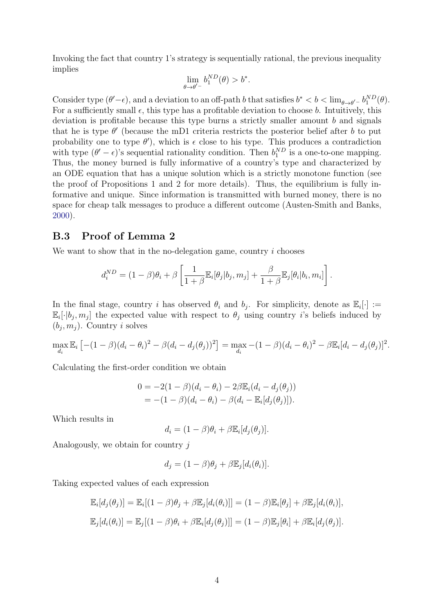Invoking the fact that country 1's strategy is sequentially rational, the previous inequality implies

$$
\lim_{\theta \to \theta'^{-}} b_1^{ND}(\theta) > b^*.
$$

Consider type  $(\theta'-\epsilon)$ , and a deviation to an off-path b that satisfies  $b^* < b < \lim_{\theta \to \theta'} b_1^{ND}(\theta)$ . For a sufficiently small  $\epsilon$ , this type has a profitable deviation to choose b. Intuitively, this deviation is profitable because this type burns a strictly smaller amount  $b$  and signals that he is type  $\theta'$  (because the mD1 criteria restricts the posterior belief after b to put probability one to type  $\theta'$ ), which is  $\epsilon$  close to his type. This produces a contradiction with type  $(\theta' - \epsilon)$ 's sequential rationality condition. Then  $b_1^{ND}$  is a one-to-one mapping. Thus, the money burned is fully informative of a country's type and characterized by an ODE equation that has a unique solution which is a strictly monotone function (see the proof of Propositions 1 and 2 for more details). Thus, the equilibrium is fully informative and unique. Since information is transmitted with burned money, there is no space for cheap talk messages to produce a different outcome (Austen-Smith and Banks, [2000\)](#page-33-8).

### <span id="page-42-0"></span>B.3 Proof of Lemma 2

We want to show that in the no-delegation game, country i chooses

$$
d_i^{ND} = (1 - \beta)\theta_i + \beta \left[ \frac{1}{1 + \beta} \mathbb{E}_i[\theta_j | b_j, m_j] + \frac{\beta}{1 + \beta} \mathbb{E}_j[\theta_i | b_i, m_i] \right].
$$

In the final stage, country i has observed  $\theta_i$  and  $b_j$ . For simplicity, denote as  $\mathbb{E}_i[\cdot] :=$  $\mathbb{E}_i[\cdot|b_j, m_j]$  the expected value with respect to  $\theta_j$  using country *i*'s beliefs induced by  $(b_j, m_j)$ . Country *i* solves

$$
\max_{d_i} \mathbb{E}_i \left[ -(1-\beta)(d_i - \theta_i)^2 - \beta(d_i - d_j(\theta_j))^2 \right] = \max_{d_i} -(1-\beta)(d_i - \theta_i)^2 - \beta \mathbb{E}_i [d_i - d_j(\theta_j)]^2.
$$

Calculating the first-order condition we obtain

$$
0 = -2(1 - \beta)(d_i - \theta_i) - 2\beta \mathbb{E}_i(d_i - d_j(\theta_j))
$$
  
= -(1 - \beta)(d\_i - \theta\_i) - \beta(d\_i - \mathbb{E}\_i[d\_j(\theta\_j)]).

Which results in

$$
d_i = (1 - \beta)\theta_i + \beta \mathbb{E}_i[d_j(\theta_j)].
$$

Analogously, we obtain for country j

$$
d_j = (1 - \beta)\theta_j + \beta \mathbb{E}_j[d_i(\theta_i)].
$$

Taking expected values of each expression

$$
\mathbb{E}_i[d_j(\theta_j)] = \mathbb{E}_i[(1-\beta)\theta_j + \beta \mathbb{E}_j[d_i(\theta_i)]] = (1-\beta)\mathbb{E}_i[\theta_j] + \beta \mathbb{E}_j[d_i(\theta_i)],
$$
  

$$
\mathbb{E}_j[d_i(\theta_i)] = \mathbb{E}_j[(1-\beta)\theta_i + \beta \mathbb{E}_i[d_j(\theta_j)]] = (1-\beta)\mathbb{E}_j[\theta_i] + \beta \mathbb{E}_i[d_j(\theta_j)].
$$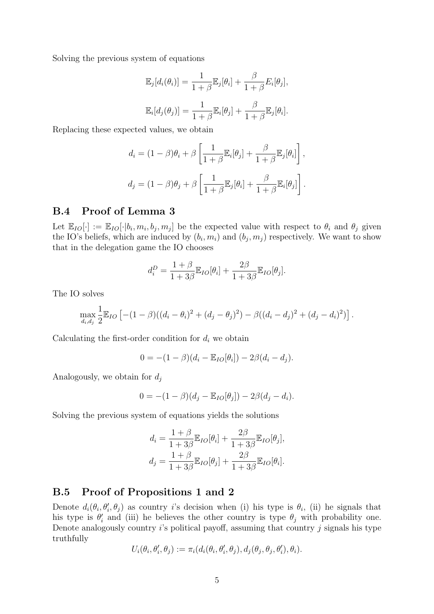Solving the previous system of equations

$$
\mathbb{E}_j[d_i(\theta_i)] = \frac{1}{1+\beta} \mathbb{E}_j[\theta_i] + \frac{\beta}{1+\beta} E_i[\theta_j],
$$
  

$$
\mathbb{E}_i[d_j(\theta_j)] = \frac{1}{1+\beta} \mathbb{E}_i[\theta_j] + \frac{\beta}{1+\beta} \mathbb{E}_j[\theta_i].
$$

Replacing these expected values, we obtain

$$
d_i = (1 - \beta)\theta_i + \beta \left[ \frac{1}{1 + \beta} \mathbb{E}_i[\theta_j] + \frac{\beta}{1 + \beta} \mathbb{E}_j[\theta_i] \right],
$$
  

$$
d_j = (1 - \beta)\theta_j + \beta \left[ \frac{1}{1 + \beta} \mathbb{E}_j[\theta_i] + \frac{\beta}{1 + \beta} \mathbb{E}_i[\theta_j] \right].
$$

# <span id="page-43-0"></span>B.4 Proof of Lemma 3

Let  $\mathbb{E}_{IO}[\cdot] := \mathbb{E}_{IO}[\cdot|b_i, m_i, b_j, m_j]$  be the expected value with respect to  $\theta_i$  and  $\theta_j$  given the IO's beliefs, which are induced by  $(b_i, m_i)$  and  $(b_j, m_j)$  respectively. We want to show that in the delegation game the IO chooses

$$
d_i^D = \frac{1+\beta}{1+3\beta} \mathbb{E}_{IO}[\theta_i] + \frac{2\beta}{1+3\beta} \mathbb{E}_{IO}[\theta_j].
$$

The IO solves

$$
\max_{d_i,d_j} \frac{1}{2} \mathbb{E}_{IO} \left[ -(1-\beta)((d_i-\theta_i)^2 + (d_j-\theta_j)^2) - \beta((d_i-d_j)^2 + (d_j-d_i)^2) \right].
$$

Calculating the first-order condition for  $d_i$  we obtain

$$
0 = -(1 - \beta)(d_i - \mathbb{E}_{IO}[\theta_i]) - 2\beta(d_i - d_j).
$$

Analogously, we obtain for  $d_i$ 

$$
0 = -(1 - \beta)(d_j - \mathbb{E}_{IO}[\theta_j]) - 2\beta(d_j - d_i).
$$

Solving the previous system of equations yields the solutions

$$
d_i = \frac{1+\beta}{1+3\beta} \mathbb{E}_{IO}[\theta_i] + \frac{2\beta}{1+3\beta} \mathbb{E}_{IO}[\theta_j],
$$
  

$$
d_j = \frac{1+\beta}{1+3\beta} \mathbb{E}_{IO}[\theta_j] + \frac{2\beta}{1+3\beta} \mathbb{E}_{IO}[\theta_i].
$$

### <span id="page-43-1"></span>B.5 Proof of Propositions 1 and 2

Denote  $d_i(\theta_i, \theta'_i, \theta_j)$  as country i's decision when (i) his type is  $\theta_i$ , (ii) he signals that his type is  $\theta_i'$  and (iii) he believes the other country is type  $\theta_j$  with probability one. Denote analogously country  $i$ 's political payoff, assuming that country  $j$  signals his type truthfully

$$
U_i(\theta_i, \theta'_i, \theta_j) := \pi_i(d_i(\theta_i, \theta'_i, \theta_j), d_j(\theta_j, \theta_j, \theta'_i), \theta_i).
$$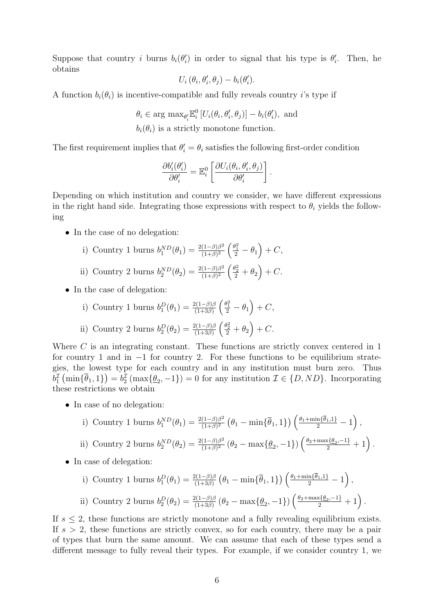Suppose that country i burns  $b_i(\theta_i)$  in order to signal that his type is  $\theta_i'$ . Then, he obtains

$$
U_i(\theta_i, \theta'_i, \theta_j) - b_i(\theta'_i).
$$

A function  $b_i(\theta_i)$  is incentive-compatible and fully reveals country *i*'s type if

 $\theta_i \in \arg \max_{\theta_i'} \mathbb{E}_i^0 \left[ U_i(\theta_i, \theta_i', \theta_j) \right] - b_i(\theta_i'), \text{ and}$  $b_i(\theta_i)$  is a strictly monotone function.

The first requirement implies that  $\theta_i' = \theta_i$  satisfies the following first-order condition

$$
\frac{\partial b_i'(\theta_i')}{\partial \theta_i'} = \mathbb{E}_i^0 \left[ \frac{\partial U_i(\theta_i, \theta_i', \theta_j)}{\partial \theta_i'} \right].
$$

Depending on which institution and country we consider, we have different expressions in the right hand side. Integrating those expressions with respect to  $\theta_i$  yields the following

• In the case of no delegation:

i) Country 1 burns 
$$
b_1^{ND}(\theta_1) = \frac{2(1-\beta)\beta^2}{(1+\beta)^2} \left(\frac{\theta_1^2}{2} - \theta_1\right) + C
$$
,

- ii) Country 2 burns  $b_2^{ND}(\theta_2) = \frac{2(1-\beta)\beta^2}{(1+\beta)^2}$  $\frac{(1-\beta)\beta^2}{(1+\beta)^2} \left( \frac{\theta_2^2}{2} + \theta_2 \right) + C.$
- In the case of delegation:

i) Country 1 burns 
$$
b_1^D(\theta_1) = \frac{2(1-\beta)\beta}{(1+3\beta)} \left(\frac{\theta_1^2}{2} - \theta_1\right) + C
$$
,

ii) Country 2 burns 
$$
b_2^D(\theta_2) = \frac{2(1-\beta)\beta}{(1+3\beta)} \left(\frac{\theta_2^2}{2} + \theta_2\right) + C.
$$

Where C is an integrating constant. These functions are strictly convex centered in 1 for country 1 and in  $-1$  for country 2. For these functions to be equilibrium strategies, the lowest type for each country and in any institution must burn zero. Thus  $b_1^{\mathcal{I}}(\min\{\overline{\theta}_1,1\}) = b_2^{\mathcal{I}}(\max\{\underline{\theta}_2,-1\}) = 0$  for any institution  $\mathcal{I} \in \{D,ND\}$ . Incorporating these restrictions we obtain

• In case of no delegation:

i) Country 1 burns 
$$
b_1^{ND}(\theta_1) = \frac{2(1-\beta)\beta^2}{(1+\beta)^2} (\theta_1 - \min{\{\overline{\theta}_1, 1\}}) \left(\frac{\theta_1 + \min{\{\overline{\theta}_1, 1\}}}{2} - 1\right)
$$

,

.

ii) Country 2 burns 
$$
b_2^{ND}(\theta_2) = \frac{2(1-\beta)\beta^2}{(1+\beta)^2} (\theta_2 - \max{\{\underline{\theta}_2, -1\}}) \left(\frac{\theta_2 + \max{\{\underline{\theta}_2, -1\}}}{2} + 1\right)
$$

• In case of delegation:

i) Country 1 burns 
$$
b_1^D(\theta_1) = \frac{2(1-\beta)\beta}{(1+3\beta)} \left(\theta_1 - \min\{\overline{\theta}_1, 1\}\right) \left(\frac{\theta_1 + \min\{\overline{\theta}_1, 1\}}{2} - 1\right)
$$
,  
ii) Country 2 burns  $b_2^D(\theta_2) = \frac{2(1-\beta)\beta}{(1+3\beta)} (\theta_2 - \max\{\underline{\theta}_2, -1\}) \left(\frac{\theta_2 + \max\{\underline{\theta}_2, -1\}}{2} + 1\right)$ .

If  $s \leq 2$ , these functions are strictly monotone and a fully revealing equilibrium exists. If  $s > 2$ , these functions are strictly convex, so for each country, there may be a pair of types that burn the same amount. We can assume that each of these types send a different message to fully reveal their types. For example, if we consider country 1, we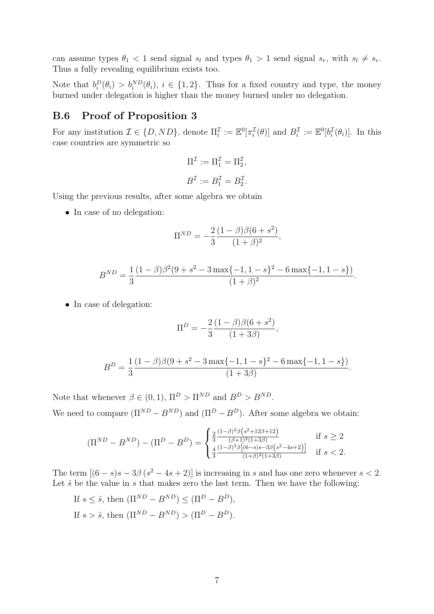can assume types  $\theta_1 < 1$  send signal  $s_l$  and types  $\theta_1 > 1$  send signal  $s_r$ , with  $s_l \neq s_r$ . Thus a fully revealing equilibrium exists too.

Note that  $b_i^D(\theta_i) > b_i^{ND}(\theta_i)$ ,  $i \in \{1,2\}$ . Thus for a fixed country and type, the money burned under delegation is higher than the money burned under no delegation.

### <span id="page-45-0"></span>B.6 Proof of Proposition 3

For any institution  $\mathcal{I} \in \{D, ND\}$ , denote  $\Pi_i^{\mathcal{I}} := \mathbb{E}^0[\pi_i^{\mathcal{I}}(\theta)]$  and  $B_i^{\mathcal{I}} := \mathbb{E}^0[b_i^{\mathcal{I}}(\theta_i)]$ . In this case countries are symmetric so

$$
\Pi^{\mathcal{I}} := \Pi_1^{\mathcal{I}} = \Pi_2^{\mathcal{I}},
$$
  

$$
B^{\mathcal{I}} := B_1^{\mathcal{I}} = B_2^{\mathcal{I}}.
$$

Using the previous results, after some algebra we obtain

• In case of no delegation:

$$
\Pi^{ND} = -\frac{2}{3} \frac{(1-\beta)\beta(6+s^2)}{(1+\beta)^2},
$$

$$
B^{ND} = \frac{1}{3} \frac{(1-\beta)\beta^2(9+s^2-3\max\{-1,1-s\}^2-6\max\{-1,1-s\})}{(1+\beta)^2}.
$$

• In case of delegation:

$$
\Pi^{D} = -\frac{2}{3} \frac{(1-\beta)\beta(6+s^2)}{(1+3\beta)},
$$

$$
B^{D} = \frac{1}{3} \frac{(1 - \beta)\beta(9 + s^{2} - 3\max\{-1, 1 - s\}^{2} - 6\max\{-1, 1 - s\})}{(1 + 3\beta)}.
$$

Note that whenever  $\beta \in (0, 1)$ ,  $\Pi^D > \Pi^{ND}$  and  $B^D > B^{ND}$ . We need to compare  $(\Pi^{ND} - B^{ND})$  and  $(\Pi^{D} - B^{D})$ . After some algebra we obtain:

$$
(\Pi^{ND} - B^{ND}) - (\Pi^D - B^D) = \begin{cases} \frac{2}{3} \frac{(1-\beta)^2 \beta \left(s^2 + 12\beta + 12\right)}{(\beta+1)^2 (1+3\beta)} & \text{if } s \ge 2\\ \frac{4}{3} \frac{(1-\beta)^2 \beta \left[(6-s)s - 3\beta \left(s^2 - 4s + 2\right)\right]}{(1+\beta)^2 (1+3\beta)} & \text{if } s < 2. \end{cases}
$$

The term  $[(6-s)s-3\beta(s^2-4s+2)]$  is increasing in s and has one zero whenever  $s < 2$ . Let  $\hat{s}$  be the value in s that makes zero the last term. Then we have the following:

If 
$$
s \leq \hat{s}
$$
, then  $(\Pi^{ND} - B^{ND}) \leq (\Pi^D - B^D)$ ,  
If  $s > \hat{s}$ , then  $(\Pi^{ND} - B^{ND}) > (\Pi^D - B^D)$ .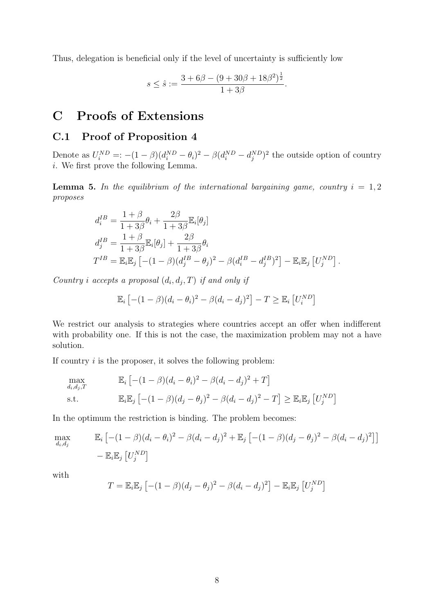Thus, delegation is beneficial only if the level of uncertainty is sufficiently low

$$
s \leq \hat{s} := \frac{3 + 6\beta - (9 + 30\beta + 18\beta^2)^{\frac{1}{2}}}{1 + 3\beta}.
$$

# <span id="page-46-0"></span>C Proofs of Extensions

# <span id="page-46-1"></span>C.1 Proof of Proposition 4

Denote as  $U_i^{ND} =: -(1 - \beta)(d_i^{ND} - \theta_i)^2 - \beta(d_i^{ND} - d_j^{ND})^2$  the outside option of country i. We first prove the following Lemma.

**Lemma 5.** In the equilibrium of the international bargaining game, country  $i = 1, 2$ proposes

$$
d_i^{IB} = \frac{1+\beta}{1+3\beta}\theta_i + \frac{2\beta}{1+3\beta}\mathbb{E}_i[\theta_j]
$$
  
\n
$$
d_j^{IB} = \frac{1+\beta}{1+3\beta}\mathbb{E}_i[\theta_j] + \frac{2\beta}{1+3\beta}\theta_i
$$
  
\n
$$
T^{IB} = \mathbb{E}_i\mathbb{E}_j\left[-(1-\beta)(d_j^{IB} - \theta_j)^2 - \beta(d_i^{IB} - d_j^{IB})^2\right] - \mathbb{E}_i\mathbb{E}_j\left[U_j^{ND}\right].
$$

Country i accepts a proposal  $(d_i, d_j, T)$  if and only if

$$
\mathbb{E}_i \left[ -(1-\beta)(d_i - \theta_i)^2 - \beta(d_i - d_j)^2 \right] - T \ge \mathbb{E}_i \left[ U_i^{ND} \right]
$$

We restrict our analysis to strategies where countries accept an offer when indifferent with probability one. If this is not the case, the maximization problem may not a have solution.

If country  $i$  is the proposer, it solves the following problem:

$$
\max_{d_i, d_j, T} \qquad \mathbb{E}_i \left[ -(1 - \beta)(d_i - \theta_i)^2 - \beta(d_i - d_j)^2 + T \right]
$$
\n
$$
\text{s.t.} \qquad \mathbb{E}_i \mathbb{E}_j \left[ -(1 - \beta)(d_j - \theta_j)^2 - \beta(d_i - d_j)^2 - T \right] \ge \mathbb{E}_i \mathbb{E}_j \left[ U_j^{ND} \right]
$$

In the optimum the restriction is binding. The problem becomes:

$$
\max_{d_i, d_j} \mathbb{E}_i \left[ -(1 - \beta)(d_i - \theta_i)^2 - \beta(d_i - d_j)^2 + \mathbb{E}_j \left[ -(1 - \beta)(d_j - \theta_j)^2 - \beta(d_i - d_j)^2 \right] \right] - \mathbb{E}_i \mathbb{E}_j \left[ U_j^{ND} \right]
$$

with

$$
T = \mathbb{E}_i \mathbb{E}_j \left[ -(1 - \beta)(d_j - \theta_j)^2 - \beta(d_i - d_j)^2 \right] - \mathbb{E}_i \mathbb{E}_j \left[ U_j^{ND} \right]
$$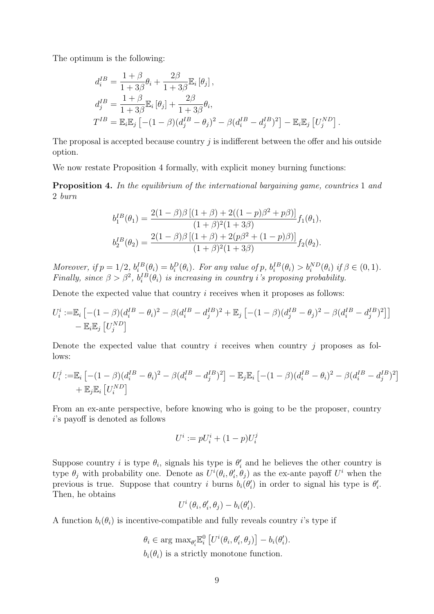The optimum is the following:

$$
d_i^{IB} = \frac{1+\beta}{1+3\beta}\theta_i + \frac{2\beta}{1+3\beta}\mathbb{E}_i\left[\theta_j\right],
$$
  
\n
$$
d_j^{IB} = \frac{1+\beta}{1+3\beta}\mathbb{E}_i\left[\theta_j\right] + \frac{2\beta}{1+3\beta}\theta_i,
$$
  
\n
$$
T^{IB} = \mathbb{E}_i\mathbb{E}_j\left[-(1-\beta)(d_j^{IB} - \theta_j)^2 - \beta(d_i^{IB} - d_j^{IB})^2\right] - \mathbb{E}_i\mathbb{E}_j\left[U_j^{ND}\right].
$$

The proposal is accepted because country  $j$  is indifferent between the offer and his outside option.

We now restate Proposition 4 formally, with explicit money burning functions:

**Proposition 4.** In the equilibrium of the international bargaining game, countries 1 and 2 burn

$$
b_1^{IB}(\theta_1) = \frac{2(1-\beta)\beta [(1+\beta)+2((1-p)\beta^2+p\beta)]}{(1+\beta)^2(1+3\beta)} f_1(\theta_1),
$$
  

$$
b_2^{IB}(\theta_2) = \frac{2(1-\beta)\beta [(1+\beta)+2(p\beta^2+(1-p)\beta)]}{(1+\beta)^2(1+3\beta)} f_2(\theta_2).
$$

Moreover, if  $p = 1/2$ ,  $b_i^{\text{IB}}(\theta_i) = b_i^{\text{D}}(\theta_i)$ . For any value of  $p$ ,  $b_i^{\text{IB}}(\theta_i) > b_i^{\text{ND}}(\theta_i)$  if  $\beta \in (0, 1)$ . Finally, since  $\beta > \beta^2$ ,  $b_i^{IB}(\theta_i)$  is increasing in country *i*'s proposing probability.

Denote the expected value that country i receives when it proposes as follows:

$$
U_i^i := \mathbb{E}_i \left[ -(1 - \beta)(d_i^{IB} - \theta_i)^2 - \beta(d_i^{IB} - d_j^{IB})^2 + \mathbb{E}_j \left[ -(1 - \beta)(d_j^{IB} - \theta_j)^2 - \beta(d_i^{IB} - d_j^{IB})^2 \right] \right] - \mathbb{E}_i \mathbb{E}_j \left[ U_j^{ND} \right]
$$

Denote the expected value that country  $i$  receives when country  $j$  proposes as follows:

$$
U_i^j := \mathbb{E}_i \left[ -(1 - \beta)(d_i^{IB} - \theta_i)^2 - \beta(d_i^{IB} - d_j^{IB})^2 \right] - \mathbb{E}_j \mathbb{E}_i \left[ -(1 - \beta)(d_i^{IB} - \theta_i)^2 - \beta(d_i^{IB} - d_j^{IB})^2 \right] + \mathbb{E}_j \mathbb{E}_i \left[ U_i^{ND} \right]
$$

From an ex-ante perspective, before knowing who is going to be the proposer, country i's payoff is denoted as follows

$$
U^i := pU_i^i + (1-p)U_i^j
$$

Suppose country *i* is type  $\theta_i$ , signals his type is  $\theta'_i$  and he believes the other country is type  $\theta_j$  with probability one. Denote as  $U^i(\theta_i, \theta'_i, \theta_j)$  as the ex-ante payoff  $U^i$  when the previous is true. Suppose that country i burns  $b_i(\theta'_i)$  in order to signal his type is  $\theta'_i$ . Then, he obtains

$$
U^i(\theta_i, \theta'_i, \theta_j) - b_i(\theta'_i).
$$

A function  $b_i(\theta_i)$  is incentive-compatible and fully reveals country i's type if

 $\theta_i \in \arg \max_{\theta_i'} \mathbb{E}_i^0 \left[ U^i(\theta_i, \theta_i', \theta_j) \right] - b_i(\theta_i').$  $b_i(\theta_i)$  is a strictly monotone function.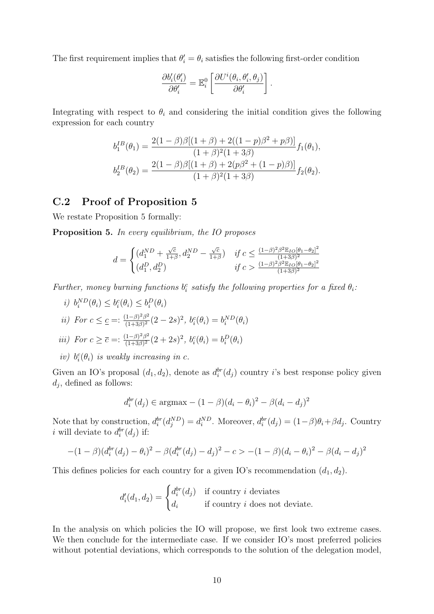The first requirement implies that  $\theta_i' = \theta_i$  satisfies the following first-order condition

$$
\frac{\partial b_i'(\theta_i')}{\partial \theta_i'} = \mathbb{E}_i^0 \left[ \frac{\partial U^i(\theta_i, \theta_i', \theta_j)}{\partial \theta_i'} \right].
$$

Integrating with respect to  $\theta_i$  and considering the initial condition gives the following expression for each country

$$
b_1^{IB}(\theta_1) = \frac{2(1-\beta)\beta[(1+\beta)+2((1-p)\beta^2+p\beta)]}{(1+\beta)^2(1+3\beta)}f_1(\theta_1),
$$
  
\n
$$
b_2^{IB}(\theta_2) = \frac{2(1-\beta)\beta[(1+\beta)+2(p\beta^2+(1-p)\beta)]}{(1+\beta)^2(1+3\beta)}f_2(\theta_2).
$$

### <span id="page-48-0"></span>C.2 Proof of Proposition 5

We restate Proposition 5 formally:

Proposition 5. In every equilibrium, the IO proposes

$$
d = \begin{cases} (d_1^{ND} + \frac{\sqrt{c}}{1+\beta}, d_2^{ND} - \frac{\sqrt{c}}{1+\beta}) & \text{if } c \le \frac{(1-\beta)^2 \beta^2 \mathbb{E}_{IO} [\theta_1 - \theta_2]^2}{(1+3\beta)^2} \\ (d_1^D, d_2^D) & \text{if } c > \frac{(1-\beta)^2 \beta^2 \mathbb{E}_{IO} [\theta_1 - \theta_2]^2}{(1+3\beta)^2} \end{cases}
$$

Further, money burning functions  $b_i^c$  satisfy the following properties for a fixed  $\theta_i$ .

- i)  $b_i^{ND}(\theta_i) \leq b_i^c(\theta_i) \leq b_i^D(\theta_i)$ ii) For  $c \leq \underline{c} =: \frac{(1-\beta)^2 \beta^2}{(1+3\beta)^2}$  $\frac{(1-\beta)^2\beta^2}{(1+3\beta)^2}(2-2s)^2, b_i^c(\theta_i)=b_i^{ND}(\theta_i)$ iii) For  $c \geq \overline{c} =: \frac{(1-\beta)^2 \beta^2}{(1+3\beta)^2}$  $\frac{(1-\beta)^2\beta^2}{(1+3\beta)^2}(2+2s)^2, b_i^c(\theta_i)=b_i^D(\theta_i)$
- iv)  $b_i^c(\theta_i)$  is weakly increasing in c.

Given an IO's proposal  $(d_1, d_2)$ , denote as  $d_i^{br}(d_j)$  country i's best response policy given  $d_j$ , defined as follows:

$$
d_i^{br}(d_j) \in \text{argmax} - (1 - \beta)(d_i - \theta_i)^2 - \beta(d_i - d_j)^2
$$

Note that by construction,  $d_i^{br}(d_j^{ND}) = d_i^{ND}$ . Moreover,  $d_i^{br}(d_j) = (1-\beta)\theta_i + \beta d_j$ . Country *i* will deviate to  $d_i^{br}(d_j)$  if:

$$
-(1-\beta)(d_i^{br}(d_j)-\theta_i)^2 - \beta(d_i^{br}(d_j)-d_j)^2 - c > -(1-\beta)(d_i-\theta_i)^2 - \beta(d_i-d_j)^2
$$

This defines policies for each country for a given IO's recommendation  $(d_1, d_2)$ .

$$
d'_{i}(d_{1}, d_{2}) = \begin{cases} d_{i}^{br}(d_{j}) & \text{if country } i \text{ deviates} \\ d_{i} & \text{if country } i \text{ does not deviate.} \end{cases}
$$

In the analysis on which policies the IO will propose, we first look two extreme cases. We then conclude for the intermediate case. If we consider IO's most preferred policies without potential deviations, which corresponds to the solution of the delegation model,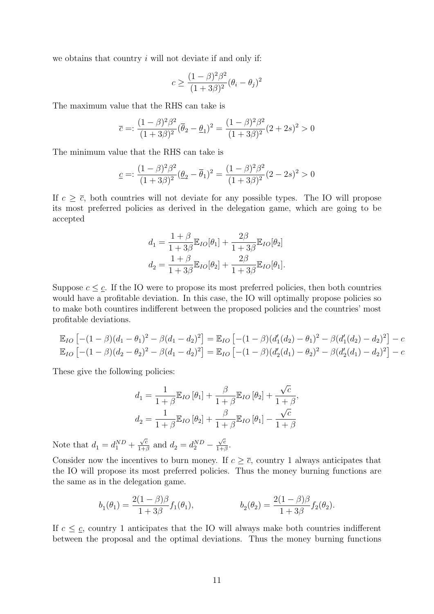we obtains that country  $i$  will not deviate if and only if:

$$
c \ge \frac{(1-\beta)^2 \beta^2}{(1+3\beta)^2} (\theta_i - \theta_j)^2
$$

The maximum value that the RHS can take is

$$
\overline{c} =: \frac{(1-\beta)^2 \beta^2}{(1+3\beta)^2} (\overline{\theta}_2 - \underline{\theta}_1)^2 = \frac{(1-\beta)^2 \beta^2}{(1+3\beta)^2} (2+2s)^2 > 0
$$

The minimum value that the RHS can take is

$$
\underline{c} =: \frac{(1-\beta)^2 \beta^2}{(1+3\beta)^2} (\underline{\theta}_2 - \overline{\theta}_1)^2 = \frac{(1-\beta)^2 \beta^2}{(1+3\beta)^2} (2-2s)^2 > 0
$$

If  $c \geq \overline{c}$ , both countries will not deviate for any possible types. The IO will propose its most preferred policies as derived in the delegation game, which are going to be accepted

$$
d_1 = \frac{1+\beta}{1+3\beta} \mathbb{E}_{IO}[\theta_1] + \frac{2\beta}{1+3\beta} \mathbb{E}_{IO}[\theta_2]
$$
  

$$
d_2 = \frac{1+\beta}{1+3\beta} \mathbb{E}_{IO}[\theta_2] + \frac{2\beta}{1+3\beta} \mathbb{E}_{IO}[\theta_1].
$$

Suppose  $c \leq \underline{c}$ . If the IO were to propose its most preferred policies, then both countries would have a profitable deviation. In this case, the IO will optimally propose policies so to make both countires indifferent between the proposed policies and the countries' most profitable deviations.

$$
\mathbb{E}_{IO} \left[ -(1 - \beta)(d_1 - \theta_1)^2 - \beta(d_1 - d_2)^2 \right] = \mathbb{E}_{IO} \left[ -(1 - \beta)(d'_1(d_2) - \theta_1)^2 - \beta(d'_1(d_2) - d_2)^2 \right] - c
$$
  
\n
$$
\mathbb{E}_{IO} \left[ -(1 - \beta)(d_2 - \theta_2)^2 - \beta(d_1 - d_2)^2 \right] = \mathbb{E}_{IO} \left[ -(1 - \beta)(d'_2(d_1) - \theta_2)^2 - \beta(d'_2(d_1) - d_2)^2 \right] - c
$$

These give the following policies:

$$
d_1 = \frac{1}{1+\beta} \mathbb{E}_{IO} [\theta_1] + \frac{\beta}{1+\beta} \mathbb{E}_{IO} [\theta_2] + \frac{\sqrt{c}}{1+\beta},
$$
  

$$
d_2 = \frac{1}{1+\beta} \mathbb{E}_{IO} [\theta_2] + \frac{\beta}{1+\beta} \mathbb{E}_{IO} [\theta_1] - \frac{\sqrt{c}}{1+\beta}
$$

Note that  $d_1 = d_1^{ND} +$  $\sqrt{c}$  $\frac{\sqrt{c}}{1+\beta}$  and  $d_2 = d_2^{ND}$  –  $\sqrt{c}$  $\frac{\sqrt{c}}{1+\beta}$ .

Consider now the incentives to burn money. If  $c \geq \overline{c}$ , country 1 always anticipates that the IO will propose its most preferred policies. Thus the money burning functions are the same as in the delegation game.

$$
b_1(\theta_1) = \frac{2(1-\beta)\beta}{1+3\beta} f_1(\theta_1), \qquad b_2(\theta_2) = \frac{2(1-\beta)\beta}{1+3\beta} f_2(\theta_2).
$$

If  $c \leq \underline{c}$ , country 1 anticipates that the IO will always make both countries indifferent between the proposal and the optimal deviations. Thus the money burning functions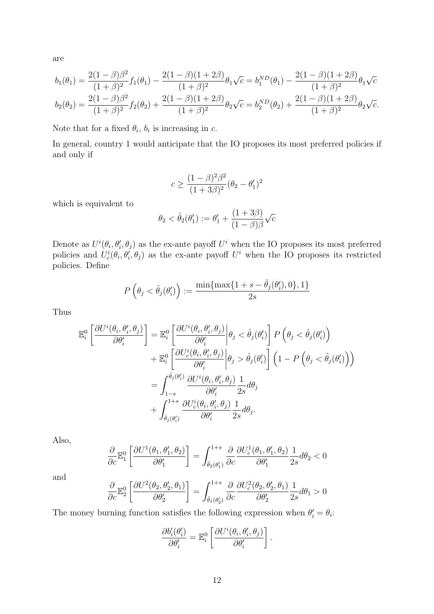are

$$
b_1(\theta_1) = \frac{2(1-\beta)\beta^2}{(1+\beta)^2} f_1(\theta_1) - \frac{2(1-\beta)(1+2\beta)}{(1+\beta)^2} \theta_1 \sqrt{c} = b_1^{ND}(\theta_1) - \frac{2(1-\beta)(1+2\beta)}{(1+\beta)^2} \theta_1 \sqrt{c}
$$
  

$$
b_2(\theta_2) = \frac{2(1-\beta)\beta^2}{(1+\beta)^2} f_2(\theta_2) + \frac{2(1-\beta)(1+2\beta)}{(1+\beta)^2} \theta_2 \sqrt{c} = b_2^{ND}(\theta_2) + \frac{2(1-\beta)(1+2\beta)}{(1+\beta)^2} \theta_2 \sqrt{c}.
$$

Note that for a fixed  $\theta_i$ ,  $b_i$  is increasing in c.

In general, country 1 would anticipate that the IO proposes its most preferred policies if and only if

$$
c \ge \frac{(1-\beta)^2 \beta^2}{(1+3\beta)^2} (\theta_2 - \theta_1')^2
$$

which is equivalent to

$$
\theta_2 < \hat{\theta}_2(\theta'_1) := \theta'_1 + \frac{(1+3\beta)}{(1-\beta)\beta}\sqrt{c}
$$

Denote as  $U^{i}(\theta_i, \theta'_i, \theta_j)$  as the ex-ante payoff  $U^{i}$  when the IO proposes its most preferred policies and  $U_c^i(\theta_i, \theta'_i, \theta_j)$  as the ex-ante payoff  $U^i$  when the IO proposes its restricted policies. Define

$$
P\left(\theta_j < \hat{\theta}_j(\theta_i')\right) := \frac{\min\{\max\{1+s-\hat{\theta}_j(\theta_i'), 0\}, 1\}}{2s}
$$

Thus

$$
\mathbb{E}_{i}^{0}\left[\frac{\partial U^{i}(\theta_{i},\theta'_{i},\theta_{j})}{\partial \theta'_{i}}\right] = \mathbb{E}_{i}^{0}\left[\frac{\partial U^{i}(\theta_{i},\theta'_{i},\theta_{j})}{\partial \theta'_{i}}\middle|\theta_{j} < \hat{\theta}_{j}(\theta'_{i})\right] P\left(\theta_{j} < \hat{\theta}_{j}(\theta'_{i})\right) \n+ \mathbb{E}_{i}^{0}\left[\frac{\partial U^{i}_{c}(\theta_{i},\theta'_{i},\theta_{j})}{\partial \theta'_{i}}\middle|\theta_{j} > \hat{\theta}_{j}(\theta'_{i})\right] \left(1 - P\left(\theta_{j} < \hat{\theta}_{j}(\theta'_{i})\right)\right) \n= \int_{1-s}^{\hat{\theta}_{j}(\theta'_{i})} \frac{\partial U^{i}(\theta_{i},\theta'_{i},\theta_{j})}{\partial \theta'_{i}} \frac{1}{2s} d\theta_{j} \n+ \int_{\hat{\theta}_{j}(\theta'_{i})}^{1+s} \frac{\partial U^{i}_{c}(\theta_{i},\theta'_{i},\theta_{j})}{\partial \theta'_{i}} \frac{1}{2s} d\theta_{j}.
$$

Also,

$$
\frac{\partial}{\partial c}\mathbb{E}^0_1\left[\frac{\partial U^1(\theta_1,\theta_1',\theta_2)}{\partial \theta_1'}\right]=\int_{\hat{\theta}_2(\theta_1')}^{1+s}\frac{\partial}{\partial c}\frac{\partial U^1_c(\theta_1,\theta_1',\theta_2)}{\partial \theta_1'}\frac{1}{2s}d\theta_2<0
$$

and

$$
\frac{\partial}{\partial c} \mathbb{E}_2^0 \left[ \frac{\partial U^2(\theta_2, \theta'_2, \theta_1)}{\partial \theta'_2} \right] = \int_{\hat{\theta}_1(\theta'_2)}^{1+s} \frac{\partial}{\partial c} \frac{\partial U_c^2(\theta_2, \theta'_2, \theta_1)}{\partial \theta'_2} \frac{1}{2s} d\theta_1 > 0
$$

The money burning function satisfies the following expression when  $\theta_i' = \theta_i$ :

$$
\frac{\partial b_i'(\theta_i')}{\partial \theta_i'} = \mathbb{E}_i^0 \left[ \frac{\partial U^i(\theta_i, \theta_i', \theta_j)}{\partial \theta_i'} \right].
$$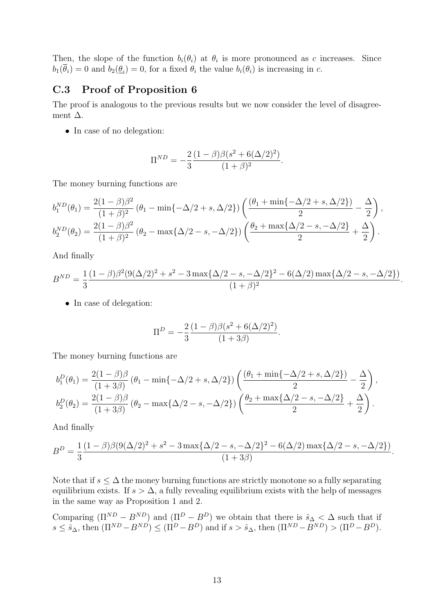Then, the slope of the function  $b_i(\theta_i)$  at  $\theta_i$  is more pronounced as c increases. Since  $b_1(\theta_i) = 0$  and  $b_2(\theta_i) = 0$ , for a fixed  $\theta_i$  the value  $b_i(\theta_i)$  is increasing in c.

### <span id="page-51-0"></span>C.3 Proof of Proposition 6

The proof is analogous to the previous results but we now consider the level of disagreement  $\Delta$ .

• In case of no delegation:

$$
\Pi^{ND} = -\frac{2}{3} \frac{(1-\beta)\beta(s^2 + 6(\Delta/2)^2)}{(1+\beta)^2}.
$$

The money burning functions are

$$
b_1^{ND}(\theta_1) = \frac{2(1-\beta)\beta^2}{(1+\beta)^2} (\theta_1 - \min\{-\Delta/2 + s, \Delta/2\}) \left( \frac{(\theta_1 + \min\{-\Delta/2 + s, \Delta/2\})}{2} - \frac{\Delta}{2} \right),
$$
  
\n
$$
b_2^{ND}(\theta_2) = \frac{2(1-\beta)\beta^2}{(1+\beta)^2} (\theta_2 - \max\{\Delta/2 - s, -\Delta/2\}) \left( \frac{\theta_2 + \max\{\Delta/2 - s, -\Delta/2\}}{2} + \frac{\Delta}{2} \right).
$$

And finally

$$
B^{ND} = \frac{1}{3} \frac{(1-\beta)\beta^2 (9(\Delta/2)^2 + s^2 - 3\max\{\Delta/2 - s, -\Delta/2\}^2 - 6(\Delta/2)\max\{\Delta/2 - s, -\Delta/2\})}{(1+\beta)^2}.
$$

• In case of delegation:

$$
\Pi^{D} = -\frac{2}{3} \frac{(1-\beta)\beta(s^2 + 6(\Delta/2)^2)}{(1+3\beta)}.
$$

The money burning functions are

$$
b_1^D(\theta_1) = \frac{2(1-\beta)\beta}{(1+3\beta)} (\theta_1 - \min\{-\Delta/2 + s, \Delta/2\}) \left( \frac{(\theta_1 + \min\{-\Delta/2 + s, \Delta/2\})}{2} - \frac{\Delta}{2} \right),
$$
  
\n
$$
b_2^D(\theta_2) = \frac{2(1-\beta)\beta}{(1+3\beta)} (\theta_2 - \max\{\Delta/2 - s, -\Delta/2\}) \left( \frac{\theta_2 + \max\{\Delta/2 - s, -\Delta/2\}}{2} + \frac{\Delta}{2} \right).
$$

And finally

$$
B^{D} = \frac{1}{3} \frac{(1 - \beta)\beta(9(\Delta/2)^{2} + s^{2} - 3\max\{\Delta/2 - s, -\Delta/2\}^{2} - 6(\Delta/2)\max\{\Delta/2 - s, -\Delta/2\})}{(1 + 3\beta)}.
$$

Note that if  $s \leq \Delta$  the money burning functions are strictly monotone so a fully separating equilibrium exists. If  $s > \Delta$ , a fully revealing equilibrium exists with the help of messages in the same way as Proposition 1 and 2.

Comparing  $(\Pi^{ND} - B^{ND})$  and  $(\Pi^D - B^D)$  we obtain that there is  $\hat{s}_{\Delta} < \Delta$  such that if  $s \leq \hat{s}_{\Delta}$ , then  $(\Pi^{ND} - B^{ND}) \leq (\Pi^D - B^D)$  and if  $s > \hat{s}_{\Delta}$ , then  $(\Pi^{ND} - B^{ND}) > (\Pi^D - B^D)$ .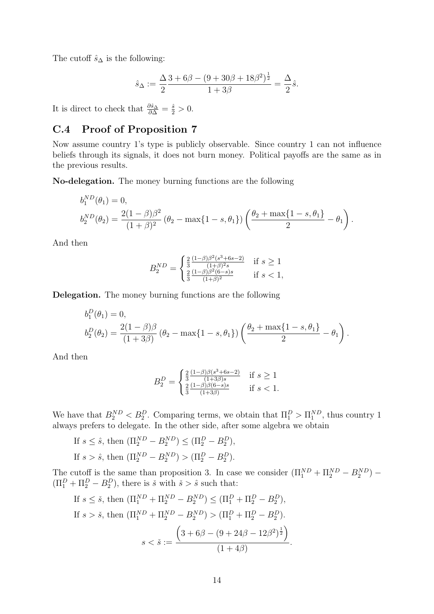The cutoff  $\hat{s}_{\Delta}$  is the following:

$$
\hat{s}_{\Delta} := \frac{\Delta}{2} \frac{3 + 6\beta - (9 + 30\beta + 18\beta^2)^{\frac{1}{2}}}{1 + 3\beta} = \frac{\Delta}{2} \hat{s}.
$$

It is direct to check that  $\frac{\partial \hat{s}_\Delta}{\partial \Delta} = \frac{\hat{s}}{2} > 0$ .

# <span id="page-52-0"></span>C.4 Proof of Proposition 7

Now assume country 1's type is publicly observable. Since country 1 can not influence beliefs through its signals, it does not burn money. Political payoffs are the same as in the previous results.

No-delegation. The money burning functions are the following

$$
b_1^{ND}(\theta_1) = 0,
$$
  
\n
$$
b_2^{ND}(\theta_2) = \frac{2(1-\beta)\beta^2}{(1+\beta)^2} (\theta_2 - \max\{1-s,\theta_1\}) \left(\frac{\theta_2 + \max\{1-s,\theta_1\}}{2} - \theta_1\right).
$$

And then

$$
B_2^{ND} = \begin{cases} \frac{2}{3} \frac{(1-\beta)\beta^2(s^3+6s-2)}{(1+\beta)^2s} & \text{if } s \ge 1\\ \frac{2}{3} \frac{(1-\beta)\beta^2(6-s)s}{(1+\beta)^2} & \text{if } s < 1, \end{cases}
$$

Delegation. The money burning functions are the following

$$
b_1^D(\theta_1) = 0,
$$
  
\n
$$
b_2^D(\theta_2) = \frac{2(1-\beta)\beta}{(1+3\beta)} (\theta_2 - \max\{1-s,\theta_1\}) \left(\frac{\theta_2 + \max\{1-s,\theta_1\}}{2} - \theta_1\right).
$$

And then

$$
B_2^D = \begin{cases} \frac{2}{3} \frac{(1-\beta)\beta(s^3+6s-2)}{(1+3\beta)s} & \text{if } s \ge 1\\ \frac{2}{3} \frac{(1-\beta)\beta(6-s)s}{(1+3\beta)} & \text{if } s < 1. \end{cases}
$$

We have that  $B_2^{ND} < B_2^D$ . Comparing terms, we obtain that  $\Pi_1^D > \Pi_1^{ND}$ , thus country 1 always prefers to delegate. In the other side, after some algebra we obtain

If 
$$
s \leq \hat{s}
$$
, then  $(\Pi_2^{ND} - B_2^{ND}) \leq (\Pi_2^D - B_2^D)$ ,  
If  $s > \hat{s}$ , then  $(\Pi_2^{ND} - B_2^{ND}) > (\Pi_2^D - B_2^D)$ .

The cutoff is the same than proposition 3. In case we consider  $(\Pi_1^{ND} + \Pi_2^{ND} - B_2^{ND})$  –  $(\Pi_1^D + \Pi_2^D - B_2^D)$ , there is  $\check{s}$  with  $\check{s} > \hat{s}$  such that:

<span id="page-52-1"></span>If 
$$
s \leq \tilde{s}
$$
, then  $(\Pi_1^{ND} + \Pi_2^{ND} - B_2^{ND}) \leq (\Pi_1^D + \Pi_2^D - B_2^D)$ ,  
\nIf  $s > \tilde{s}$ , then  $(\Pi_1^{ND} + \Pi_2^{ND} - B_2^{ND}) > (\Pi_1^D + \Pi_2^D - B_2^D)$ .  
\n
$$
s < \tilde{s} := \frac{\left(3 + 6\beta - (9 + 24\beta - 12\beta^2)^{\frac{1}{2}}\right)}{(1 + 4\beta)}.
$$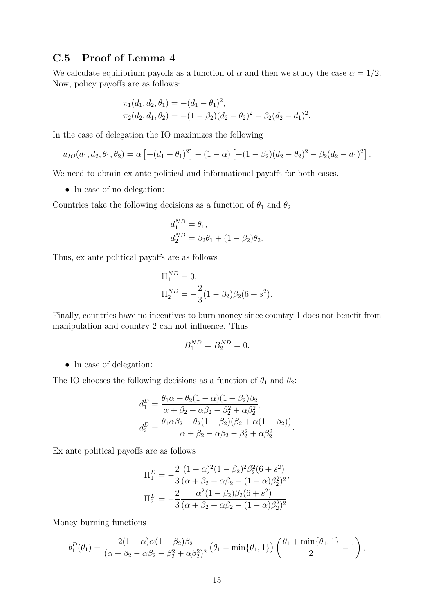### C.5 Proof of Lemma 4

We calculate equilibrium payoffs as a function of  $\alpha$  and then we study the case  $\alpha = 1/2$ . Now, policy payoffs are as follows:

$$
\pi_1(d_1, d_2, \theta_1) = -(d_1 - \theta_1)^2,
$$
  
\n
$$
\pi_2(d_2, d_1, \theta_2) = -(1 - \beta_2)(d_2 - \theta_2)^2 - \beta_2(d_2 - d_1)^2.
$$

In the case of delegation the IO maximizes the following

$$
u_{IO}(d_1, d_2, \theta_1, \theta_2) = \alpha \left[ -(d_1 - \theta_1)^2 \right] + (1 - \alpha) \left[ -(1 - \beta_2)(d_2 - \theta_2)^2 - \beta_2(d_2 - d_1)^2 \right].
$$

We need to obtain ex ante political and informational payoffs for both cases.

• In case of no delegation:

Countries take the following decisions as a function of  $\theta_1$  and  $\theta_2$ 

$$
d_1^{ND} = \theta_1,
$$
  
\n
$$
d_2^{ND} = \beta_2 \theta_1 + (1 - \beta_2)\theta_2.
$$

Thus, ex ante political payoffs are as follows

$$
\Pi_1^{ND} = 0,
$$
  
\n
$$
\Pi_2^{ND} = -\frac{2}{3}(1 - \beta_2)\beta_2(6 + s^2).
$$

Finally, countries have no incentives to burn money since country 1 does not benefit from manipulation and country 2 can not influence. Thus

$$
B_1^{ND} = B_2^{ND} = 0.
$$

• In case of delegation:

The IO chooses the following decisions as a function of  $\theta_1$  and  $\theta_2$ :

$$
d_1^D = \frac{\theta_1 \alpha + \theta_2 (1 - \alpha)(1 - \beta_2)\beta_2}{\alpha + \beta_2 - \alpha\beta_2 - \beta_2^2 + \alpha\beta_2^2},
$$
  
\n
$$
d_2^D = \frac{\theta_1 \alpha \beta_2 + \theta_2 (1 - \beta_2)(\beta_2 + \alpha(1 - \beta_2))}{\alpha + \beta_2 - \alpha\beta_2 - \beta_2^2 + \alpha\beta_2^2}.
$$

Ex ante political payoffs are as follows

$$
\Pi_1^D = -\frac{2}{3} \frac{(1-\alpha)^2 (1-\beta_2)^2 \beta_2^2 (6+s^2)}{(\alpha+\beta_2-\alpha\beta_2-(1-\alpha)\beta_2^2)^2},
$$
  
\n
$$
\Pi_2^D = -\frac{2}{3} \frac{\alpha^2 (1-\beta_2) \beta_2 (6+s^2)}{(\alpha+\beta_2-\alpha\beta_2-(1-\alpha)\beta_2^2)^2}.
$$

Money burning functions

$$
b_1^D(\theta_1)=\frac{2(1-\alpha)\alpha(1-\beta_2)\beta_2}{(\alpha+\beta_2-\alpha\beta_2-\beta_2^2+\alpha\beta_2^2)^2}\left(\theta_1-\min\{\overline{\theta}_1,1\}\right)\left(\frac{\theta_1+\min\{\overline{\theta}_1,1\}}{2}-1\right),
$$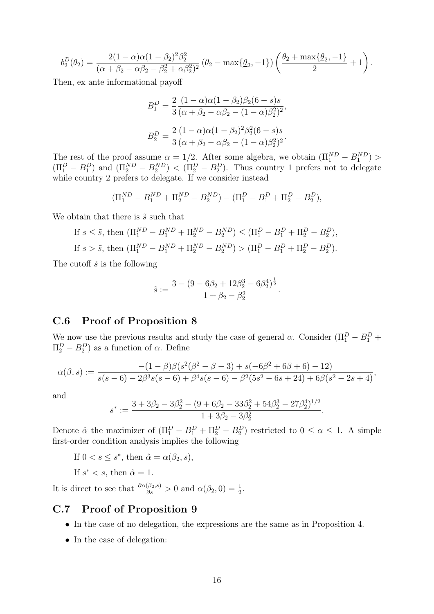$$
b_2^D(\theta_2) = \frac{2(1-\alpha)\alpha(1-\beta_2)^2\beta_2^2}{(\alpha+\beta_2-\alpha\beta_2-\beta_2^2+\alpha\beta_2^2)^2}(\theta_2-\max\{\underline{\theta}_2,-1\})\left(\frac{\theta_2+\max\{\underline{\theta}_2,-1\}}{2}+1\right).
$$

Then, ex ante informational payoff

$$
B_1^D = \frac{2}{3} \frac{(1 - \alpha)\alpha(1 - \beta_2)\beta_2(6 - s)s}{(\alpha + \beta_2 - \alpha\beta_2 - (1 - \alpha)\beta_2^2)^2},
$$
  

$$
B_2^D = \frac{2}{3} \frac{(1 - \alpha)\alpha(1 - \beta_2)^2\beta_2^2(6 - s)s}{(\alpha + \beta_2 - \alpha\beta_2 - (1 - \alpha)\beta_2^2)^2}.
$$

The rest of the proof assume  $\alpha = 1/2$ . After some algebra, we obtain  $(\Pi_1^{ND} - B_1^{ND})$  $(\Pi_1^D - B_1^D)$  and  $(\Pi_2^{ND} - B_2^{ND}) < (\Pi_2^D - B_2^D)$ . Thus country 1 prefers not to delegate while country 2 prefers to delegate. If we consider instead

$$
(\Pi_1^{ND} - B_1^{ND} + \Pi_2^{ND} - B_2^{ND}) - (\Pi_1^D - B_1^D + \Pi_2^D - B_2^D),
$$

We obtain that there is  $\tilde{s}$  such that

If 
$$
s \leq \tilde{s}
$$
, then  $(\Pi_1^{ND} - B_1^{ND} + \Pi_2^{ND} - B_2^{ND}) \leq (\Pi_1^D - B_1^D + \Pi_2^D - B_2^D)$ ,  
If  $s > \tilde{s}$ , then  $(\Pi_1^{ND} - B_1^{ND} + \Pi_2^{ND} - B_2^{ND}) > (\Pi_1^D - B_1^D + \Pi_2^D - B_2^D)$ .

The cutoff  $\tilde{s}$  is the following

$$
\tilde{s} := \frac{3 - (9 - 6\beta_2 + 12\beta_2^3 - 6\beta_2^4)^{\frac{1}{2}}}{1 + \beta_2 - \beta_2^2}.
$$

#### <span id="page-54-0"></span>C.6 Proof of Proposition 8

We now use the previous results and study the case of general  $\alpha$ . Consider  $(\Pi_1^D - B_1^D +$  $\Pi_2^D - B_2^D$  as a function of  $\alpha$ . Define

$$
\alpha(\beta,s) := \frac{-(1-\beta)\beta(s^2(\beta^2-\beta-3)+s(-6\beta^2+6\beta+6)-12)}{s(s-6)-2\beta^3s(s-6)+\beta^4s(s-6)-\beta^2(5s^2-6s+24)+6\beta(s^2-2s+4)},
$$

and

$$
s^* := \frac{3 + 3\beta_2 - 3\beta_2^2 - (9 + 6\beta_2 - 33\beta_2^2 + 54\beta_2^3 - 27\beta_2^4)^{1/2}}{1 + 3\beta_2 - 3\beta_2^2}.
$$

Denote  $\hat{\alpha}$  the maximizer of  $(\Pi_1^D - B_1^D + \Pi_2^D - B_2^D)$  restricted to  $0 \leq \alpha \leq 1$ . A simple first-order condition analysis implies the following

If  $0 < s \leq s^*$ , then  $\hat{\alpha} = \alpha(\beta_2, s)$ ,

If  $s^* < s$ , then  $\hat{\alpha} = 1$ .

It is direct to see that  $\frac{\partial \alpha(\beta_2, s)}{\partial s} > 0$  and  $\alpha(\beta_2, 0) = \frac{1}{2}$ .

### <span id="page-54-1"></span>C.7 Proof of Proposition 9

- In the case of no delegation, the expressions are the same as in Proposition 4.
- In the case of delegation: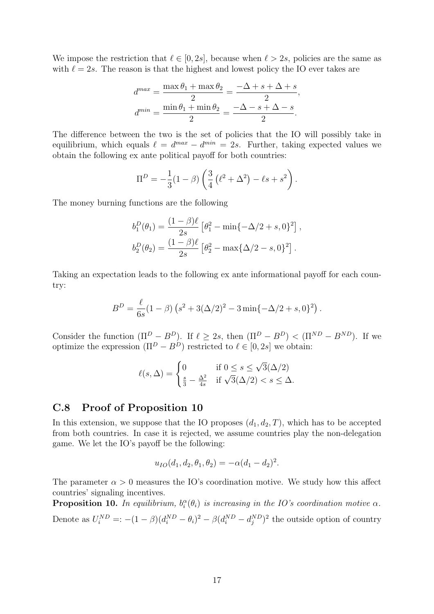We impose the restriction that  $\ell \in [0, 2s]$ , because when  $\ell > 2s$ , policies are the same as with  $\ell = 2s$ . The reason is that the highest and lowest policy the IO ever takes are

$$
d^{max} = \frac{\max \theta_1 + \max \theta_2}{2} = \frac{-\Delta + s + \Delta + s}{2},
$$

$$
d^{min} = \frac{\min \theta_1 + \min \theta_2}{2} = \frac{-\Delta - s + \Delta - s}{2}.
$$

The difference between the two is the set of policies that the IO will possibly take in equilibrium, which equals  $\ell = d^{max} - d^{min} = 2s$ . Further, taking expected values we obtain the following ex ante political payoff for both countries:

$$
\Pi^{D} = -\frac{1}{3}(1-\beta)\left(\frac{3}{4}(\ell^{2} + \Delta^{2}) - \ell s + s^{2}\right).
$$

The money burning functions are the following

$$
b_1^D(\theta_1) = \frac{(1-\beta)\ell}{2s} \left[\theta_1^2 - \min\{-\Delta/2 + s, 0\}^2\right],
$$
  

$$
b_2^D(\theta_2) = \frac{(1-\beta)\ell}{2s} \left[\theta_2^2 - \max\{\Delta/2 - s, 0\}^2\right].
$$

Taking an expectation leads to the following ex ante informational payoff for each country:

$$
B^{D} = \frac{\ell}{6s}(1-\beta)\left(s^{2} + 3(\Delta/2)^{2} - 3\min\{-\Delta/2 + s, 0\}^{2}\right).
$$

Consider the function  $(\Pi^D - B^D)$ . If  $\ell \geq 2s$ , then  $(\Pi^D - B^D) < (\Pi^{ND} - B^{ND})$ . If we optimize the expression  $(\Pi^D - B^D)$  restricted to  $\ell \in [0, 2s]$  we obtain:

$$
\ell(s,\Delta) = \begin{cases} 0 & \text{if } 0 \le s \le \sqrt{3}(\Delta/2) \\ \frac{s}{3} - \frac{\Delta^2}{4s} & \text{if } \sqrt{3}(\Delta/2) < s \le \Delta. \end{cases}
$$

#### <span id="page-55-0"></span>C.8 Proof of Proposition 10

In this extension, we suppose that the IO proposes  $(d_1, d_2, T)$ , which has to be accepted from both countries. In case it is rejected, we assume countries play the non-delegation game. We let the IO's payoff be the following:

$$
u_{IO}(d_1, d_2, \theta_1, \theta_2) = -\alpha(d_1 - d_2)^2.
$$

The parameter  $\alpha > 0$  measures the IO's coordination motive. We study how this affect countries' signaling incentives.

**Proposition 10.** In equilibrium,  $b_i^{\alpha}(\theta_i)$  is increasing in the IO's coordination motive  $\alpha$ . Denote as  $U_i^{ND} =: -(1 - \beta)(d_i^{ND} - \theta_i)^2 - \beta(d_i^{ND} - d_j^{ND})^2$  the outside option of country